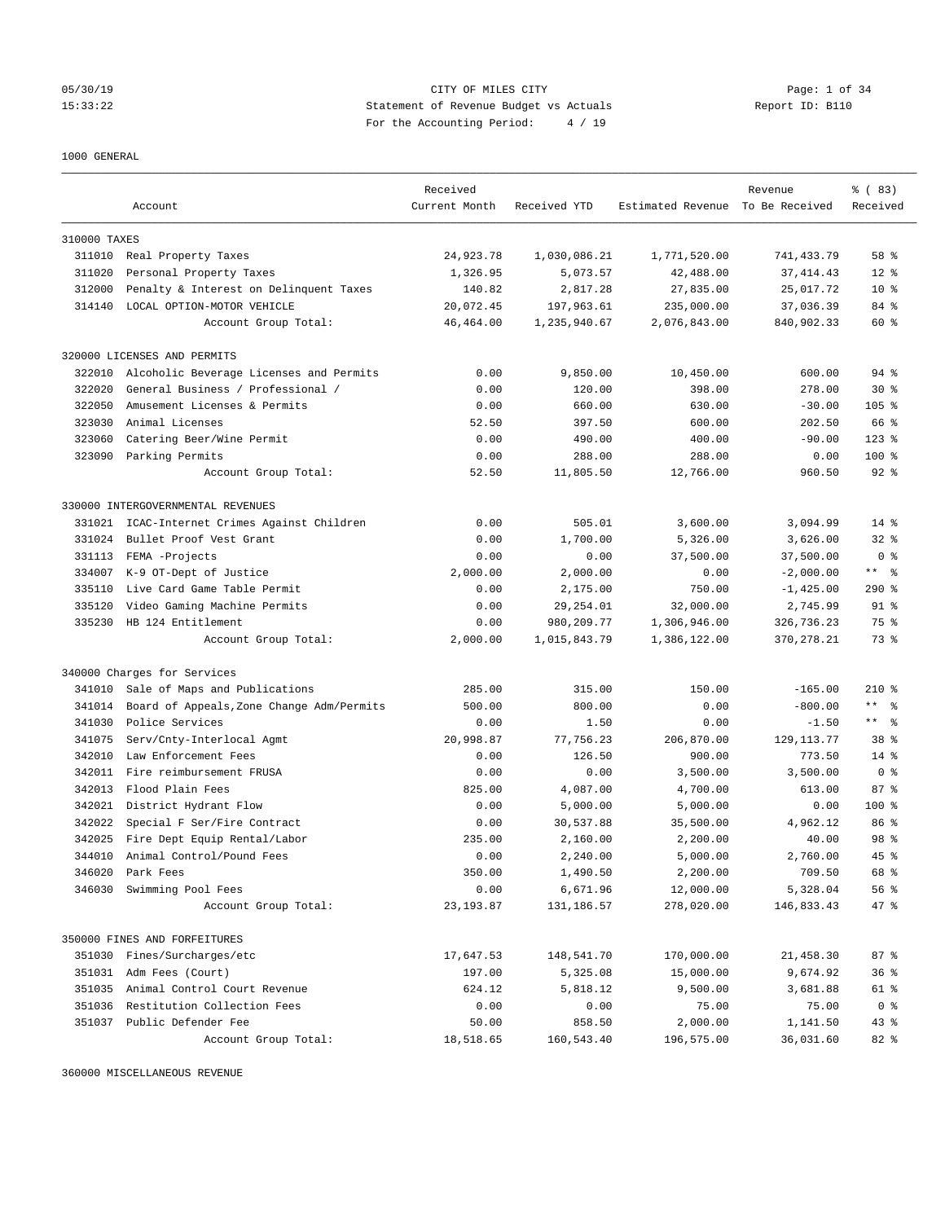# 05/30/19 CITY OF MILES CITY Page: 1 of 34 15:33:22 Statement of Revenue Budget vs Actuals Report ID: B110 For the Accounting Period: 4 / 19

### 1000 GENERAL

|              |                                           | Received      |              |                                  | Revenue      | % (83)         |
|--------------|-------------------------------------------|---------------|--------------|----------------------------------|--------------|----------------|
|              | Account                                   | Current Month | Received YTD | Estimated Revenue To Be Received |              | Received       |
| 310000 TAXES |                                           |               |              |                                  |              |                |
|              | 311010 Real Property Taxes                | 24,923.78     | 1,030,086.21 | 1,771,520.00                     | 741, 433.79  | 58 %           |
| 311020       | Personal Property Taxes                   | 1,326.95      | 5,073.57     | 42,488.00                        | 37, 414.43   | $12*$          |
| 312000       | Penalty & Interest on Delinquent Taxes    | 140.82        | 2,817.28     | 27,835.00                        | 25,017.72    | $10*$          |
| 314140       | LOCAL OPTION-MOTOR VEHICLE                | 20,072.45     | 197,963.61   | 235,000.00                       | 37,036.39    | 84 %           |
|              | Account Group Total:                      | 46, 464.00    | 1,235,940.67 | 2,076,843.00                     | 840,902.33   | 60 %           |
|              | 320000 LICENSES AND PERMITS               |               |              |                                  |              |                |
| 322010       | Alcoholic Beverage Licenses and Permits   | 0.00          | 9,850.00     | 10,450.00                        | 600.00       | 94 %           |
| 322020       | General Business / Professional /         | 0.00          | 120.00       | 398.00                           | 278.00       | $30*$          |
| 322050       | Amusement Licenses & Permits              | 0.00          | 660.00       | 630.00                           | $-30.00$     | $105$ %        |
| 323030       | Animal Licenses                           | 52.50         | 397.50       | 600.00                           | 202.50       | 66 %           |
| 323060       | Catering Beer/Wine Permit                 | 0.00          | 490.00       | 400.00                           | $-90.00$     | $123$ %        |
|              | 323090 Parking Permits                    | 0.00          | 288.00       | 288.00                           | 0.00         | $100$ %        |
|              | Account Group Total:                      | 52.50         | 11,805.50    | 12,766.00                        | 960.50       | $92$ $%$       |
|              | 330000 INTERGOVERNMENTAL REVENUES         |               |              |                                  |              |                |
| 331021       | ICAC-Internet Crimes Against Children     | 0.00          | 505.01       | 3,600.00                         | 3,094.99     | $14*$          |
| 331024       | Bullet Proof Vest Grant                   | 0.00          | 1,700.00     | 5,326.00                         | 3,626.00     | $32*$          |
| 331113       | FEMA -Projects                            | 0.00          | 0.00         | 37,500.00                        | 37,500.00    | 0 <sup>8</sup> |
| 334007       | K-9 OT-Dept of Justice                    | 2,000.00      | 2,000.00     | 0.00                             | $-2,000.00$  | $***$ $ -$     |
| 335110       | Live Card Game Table Permit               | 0.00          | 2,175.00     | 750.00                           | $-1, 425.00$ | 290%           |
| 335120       | Video Gaming Machine Permits              | 0.00          | 29, 254.01   | 32,000.00                        | 2,745.99     | 91 %           |
| 335230       | HB 124 Entitlement                        | 0.00          | 980, 209. 77 | 1,306,946.00                     | 326,736.23   | 75 %           |
|              | Account Group Total:                      | 2,000.00      | 1,015,843.79 | 1,386,122.00                     | 370, 278. 21 | 73 %           |
|              | 340000 Charges for Services               |               |              |                                  |              |                |
| 341010       | Sale of Maps and Publications             | 285.00        | 315.00       | 150.00                           | $-165.00$    | $210*$         |
| 341014       | Board of Appeals, Zone Change Adm/Permits | 500.00        | 800.00       | 0.00                             | $-800.00$    | $***$ $ -$     |
| 341030       | Police Services                           | 0.00          | 1.50         | 0.00                             | $-1.50$      | $***$ $ -$     |
| 341075       | Serv/Cnty-Interlocal Agmt                 | 20,998.87     | 77,756.23    | 206,870.00                       | 129, 113. 77 | 38 %           |
| 342010       | Law Enforcement Fees                      | 0.00          | 126.50       | 900.00                           | 773.50       | $14*$          |
| 342011       | Fire reimbursement FRUSA                  | 0.00          | 0.00         | 3,500.00                         | 3,500.00     | 0 <sup>8</sup> |
| 342013       | Flood Plain Fees                          | 825.00        | 4,087.00     | 4,700.00                         | 613.00       | 87%            |
|              | 342021 District Hydrant Flow              | 0.00          | 5,000.00     | 5,000.00                         | 0.00         | $100$ %        |
| 342022       | Special F Ser/Fire Contract               | 0.00          | 30,537.88    | 35,500.00                        | 4,962.12     | 86 %           |
| 342025       | Fire Dept Equip Rental/Labor              | 235.00        | 2,160.00     | 2,200.00                         | 40.00        | 98 %           |
| 344010       | Animal Control/Pound Fees                 | 0.00          | 2,240.00     | 5,000.00                         | 2,760.00     | $45$ %         |
| 346020       | Park Fees                                 | 350.00        | 1,490.50     | 2,200.00                         | 709.50       | 68 %           |
| 346030       | Swimming Pool Fees                        | 0.00          | 6,671.96     | 12,000.00                        | 5,328.04     | 56%            |
|              | Account Group Total:                      | 23, 193.87    | 131,186.57   | 278,020.00                       | 146,833.43   | 47 %           |
|              | 350000 FINES AND FORFEITURES              |               |              |                                  |              |                |
| 351030       | Fines/Surcharges/etc                      | 17,647.53     | 148,541.70   | 170,000.00                       | 21,458.30    | 87%            |
|              | 351031 Adm Fees (Court)                   | 197.00        | 5,325.08     | 15,000.00                        | 9,674.92     | 36%            |
| 351035       | Animal Control Court Revenue              | 624.12        | 5,818.12     | 9,500.00                         | 3,681.88     | 61 %           |
| 351036       | Restitution Collection Fees               | 0.00          | 0.00         | 75.00                            | 75.00        | 0 <sup>8</sup> |
|              | 351037 Public Defender Fee                | 50.00         | 858.50       | 2,000.00                         | 1,141.50     | 43%            |
|              | Account Group Total:                      | 18,518.65     | 160,543.40   | 196,575.00                       | 36,031.60    | 82 %           |

360000 MISCELLANEOUS REVENUE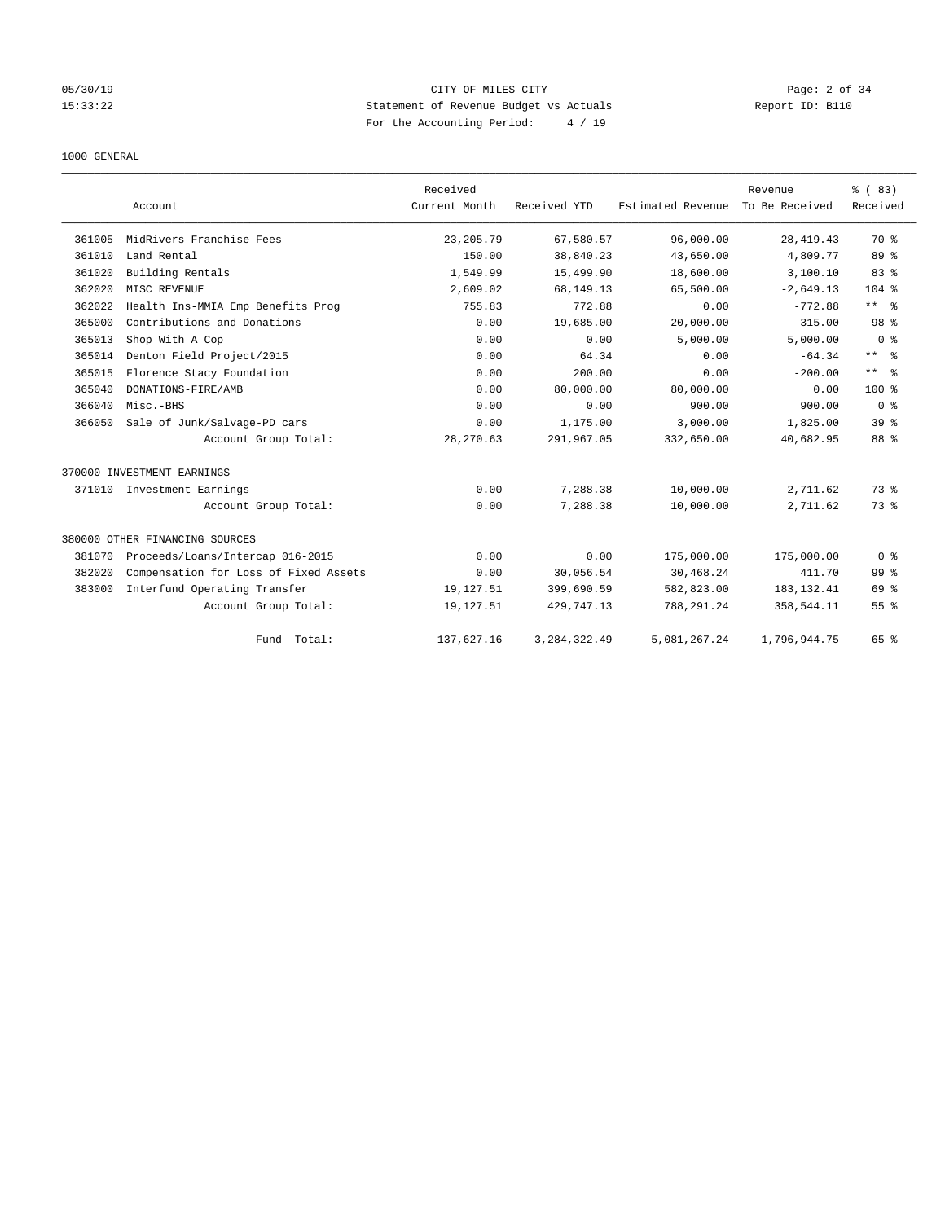# 05/30/19 CITY OF MILES CITY Page: 2 of 34 15:33:22 Statement of Revenue Budget vs Actuals Report ID: B110 For the Accounting Period: 4 / 19

### 1000 GENERAL

|        | Account                               | Received<br>Current Month | Received YTD   | Estimated Revenue | Revenue<br>To Be Received | % (83)<br>Received |
|--------|---------------------------------------|---------------------------|----------------|-------------------|---------------------------|--------------------|
| 361005 | MidRivers Franchise Fees              | 23, 205.79                | 67,580.57      | 96,000.00         | 28, 419. 43               | 70 %               |
| 361010 | Land Rental                           | 150.00                    | 38,840.23      | 43,650.00         | 4,809.77                  | 89 %               |
| 361020 | Building Rentals                      | 1,549.99                  | 15,499.90      | 18,600.00         | 3,100.10                  | 83%                |
| 362020 | MISC REVENUE                          | 2,609.02                  | 68, 149. 13    | 65,500.00         | $-2,649.13$               | $104$ %            |
| 362022 | Health Ins-MMIA Emp Benefits Prog     | 755.83                    | 772.88         | 0.00              | $-772.88$                 | $***$ $ -$         |
| 365000 | Contributions and Donations           | 0.00                      | 19,685.00      | 20,000.00         | 315.00                    | 98 %               |
| 365013 | Shop With A Cop                       | 0.00                      | 0.00           | 5,000.00          | 5,000.00                  | 0 <sup>8</sup>     |
| 365014 | Denton Field Project/2015             | 0.00                      | 64.34          | 0.00              | $-64.34$                  | $***$ $ -$         |
| 365015 | Florence Stacy Foundation             | 0.00                      | 200.00         | 0.00              | $-200.00$                 | $***$ $ -$         |
| 365040 | DONATIONS-FIRE/AMB                    | 0.00                      | 80,000.00      | 80,000.00         | 0.00                      | $100*$             |
| 366040 | Misc.-BHS                             | 0.00                      | 0.00           | 900.00            | 900.00                    | 0 <sup>8</sup>     |
| 366050 | Sale of Junk/Salvage-PD cars          | 0.00                      | 1,175.00       | 3,000.00          | 1,825.00                  | 39 <sup>8</sup>    |
|        | Account Group Total:                  | 28, 270.63                | 291,967.05     | 332,650.00        | 40,682.95                 | 88 %               |
|        | 370000 INVESTMENT EARNINGS            |                           |                |                   |                           |                    |
| 371010 | Investment Earnings                   | 0.00                      | 7,288.38       | 10,000.00         | 2,711.62                  | 73.8               |
|        | Account Group Total:                  | 0.00                      | 7,288.38       | 10,000.00         | 2,711.62                  | 73 %               |
|        | 380000 OTHER FINANCING SOURCES        |                           |                |                   |                           |                    |
| 381070 | Proceeds/Loans/Intercap 016-2015      | 0.00                      | 0.00           | 175,000.00        | 175,000.00                | 0 <sup>8</sup>     |
| 382020 | Compensation for Loss of Fixed Assets | 0.00                      | 30,056.54      | 30,468.24         | 411.70                    | 99 %               |
| 383000 | Interfund Operating Transfer          | 19,127.51                 | 399,690.59     | 582,823.00        | 183, 132.41               | 69 %               |
|        | Account Group Total:                  | 19,127.51                 | 429,747.13     | 788,291.24        | 358,544.11                | 55%                |
|        | Fund Total:                           | 137,627.16                | 3, 284, 322.49 | 5,081,267.24      | 1,796,944.75              | 65 %               |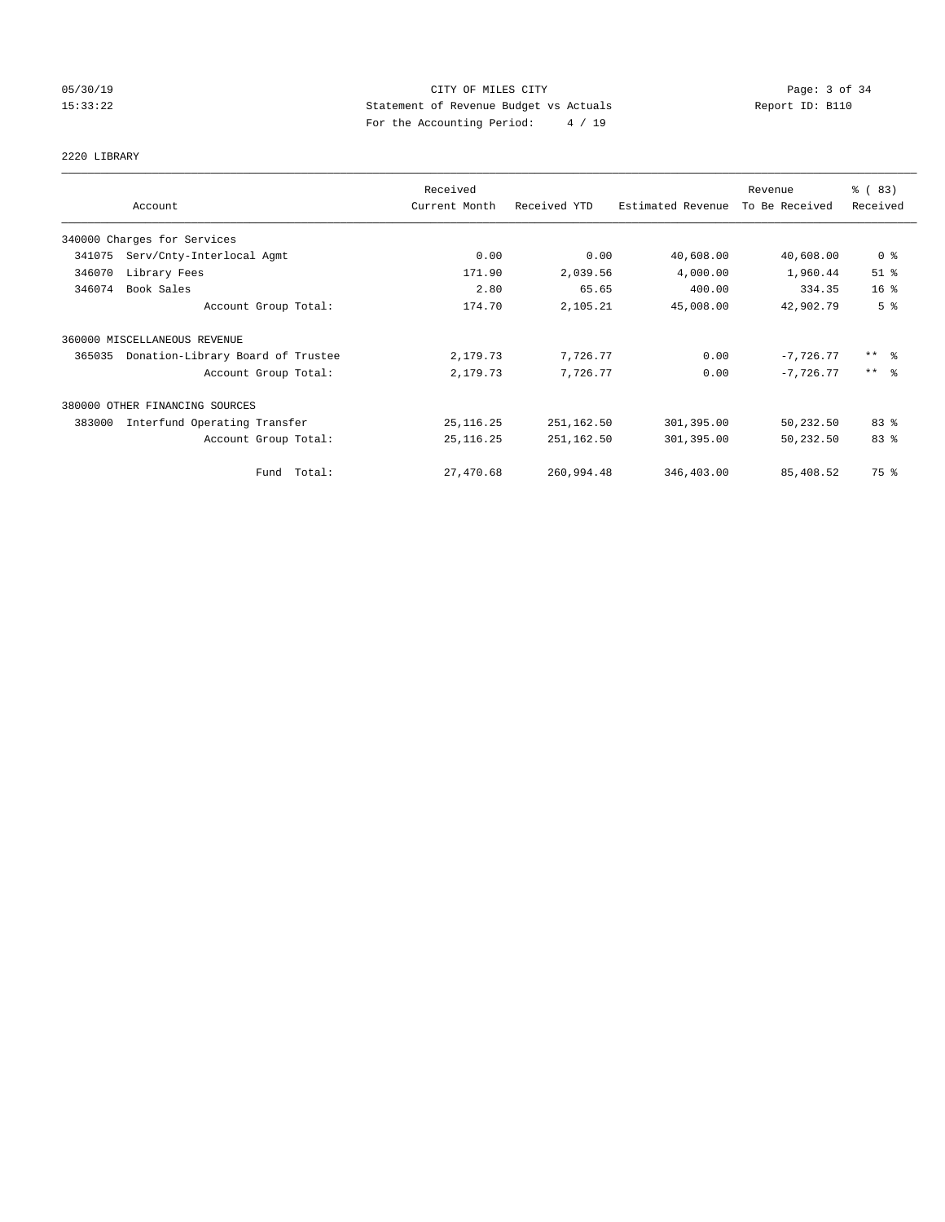# 05/30/19 CITY OF MILES CITY Page: 3 of 34 15:33:22 Statement of Revenue Budget vs Actuals Report ID: B110 For the Accounting Period: 4 / 19

# 2220 LIBRARY

|        |                                   | Received      |              |                   | Revenue        | % (83)                  |
|--------|-----------------------------------|---------------|--------------|-------------------|----------------|-------------------------|
|        | Account                           | Current Month | Received YTD | Estimated Revenue | To Be Received | Received                |
|        | 340000 Charges for Services       |               |              |                   |                |                         |
| 341075 | Serv/Cnty-Interlocal Agmt         | 0.00          | 0.00         | 40,608.00         | 40,608.00      | 0 <sup>8</sup>          |
| 346070 | Library Fees                      | 171.90        | 2,039.56     | 4,000.00          | 1,960.44       | $51$ %                  |
| 346074 | Book Sales                        | 2.80          | 65.65        | 400.00            | 334.35         | 16 <sup>°</sup>         |
|        | Account Group Total:              | 174.70        | 2,105.21     | 45,008.00         | 42,902.79      | 5 <sup>°</sup>          |
|        | 360000 MISCELLANEOUS REVENUE      |               |              |                   |                |                         |
| 365035 | Donation-Library Board of Trustee | 2,179.73      | 7,726.77     | 0.00              | $-7,726.77$    | $***$ $=$ $\frac{6}{5}$ |
|        | Account Group Total:              | 2,179.73      | 7,726.77     | 0.00              | $-7.726.77$    | $***$ $\frac{6}{5}$     |
|        | 380000 OTHER FINANCING SOURCES    |               |              |                   |                |                         |
| 383000 | Interfund Operating Transfer      | 25, 116.25    | 251,162.50   | 301,395.00        | 50,232.50      | 83%                     |
|        | Account Group Total:              | 25, 116.25    | 251,162.50   | 301,395.00        | 50,232.50      | 83 %                    |
|        | Fund Total:                       | 27,470.68     | 260,994.48   | 346,403.00        | 85,408.52      | 75 %                    |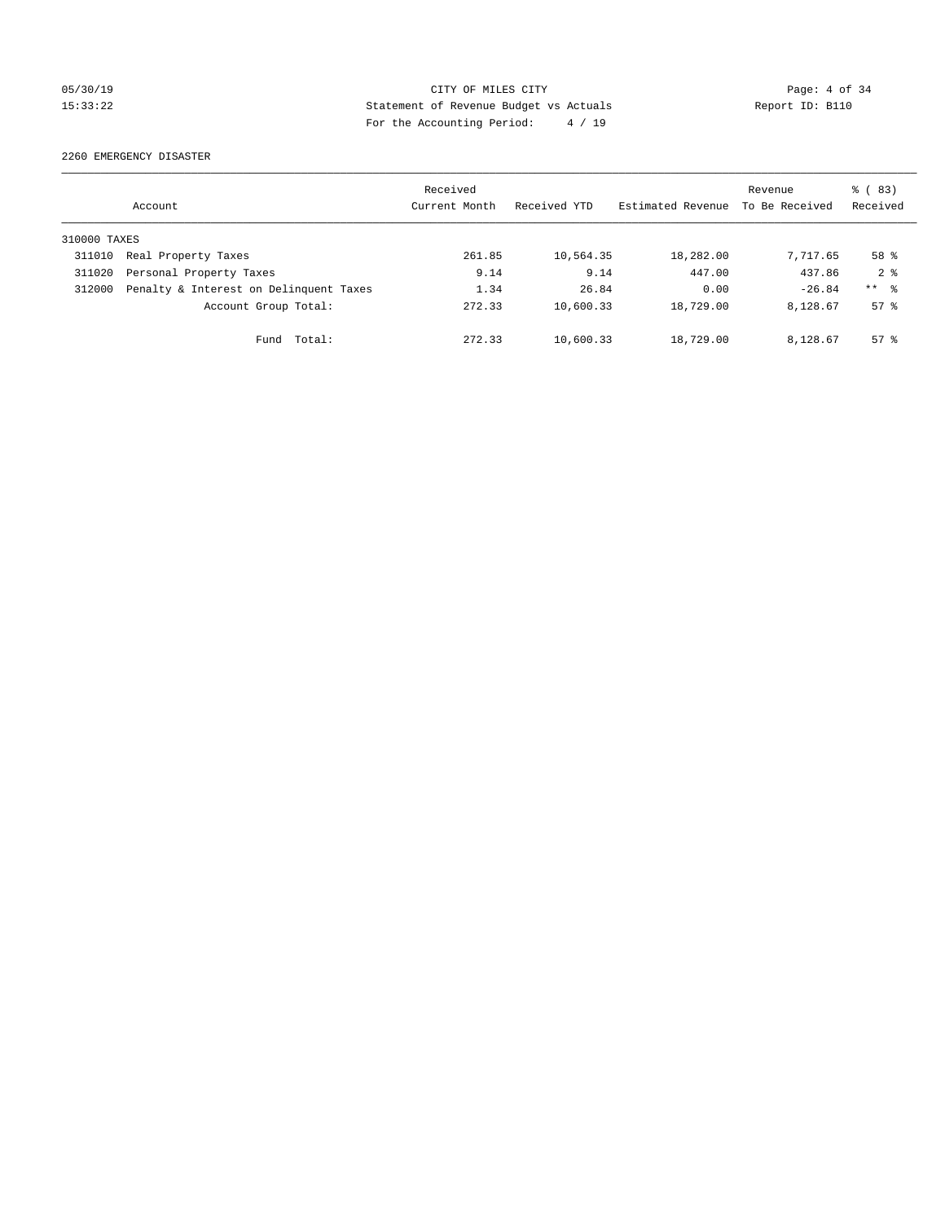# 05/30/19 CITY OF MILES CITY Page: 4 of 34 15:33:22 Statement of Revenue Budget vs Actuals Report ID: B110 For the Accounting Period: 4 / 19

2260 EMERGENCY DISASTER

|              | Account                                | Received<br>Current Month | Received YTD | Estimated Revenue | Revenue<br>To Be Received | $\frac{6}{6}$ (83)<br>Received |
|--------------|----------------------------------------|---------------------------|--------------|-------------------|---------------------------|--------------------------------|
| 310000 TAXES |                                        |                           |              |                   |                           |                                |
| 311010       | Real Property Taxes                    | 261.85                    | 10,564.35    | 18,282.00         | 7,717.65                  | 58 %                           |
| 311020       | Personal Property Taxes                | 9.14                      | 9.14         | 447.00            | 437.86                    | 2 <sup>8</sup>                 |
| 312000       | Penalty & Interest on Delinquent Taxes | 1.34                      | 26.84        | 0.00              | $-26.84$                  | $***$ $\approx$                |
|              | Account Group Total:                   | 272.33                    | 10,600.33    | 18,729.00         | 8,128.67                  | $57*$                          |
|              | Total:<br>Fund                         | 272.33                    | 10,600.33    | 18,729.00         | 8,128.67                  | $57*$                          |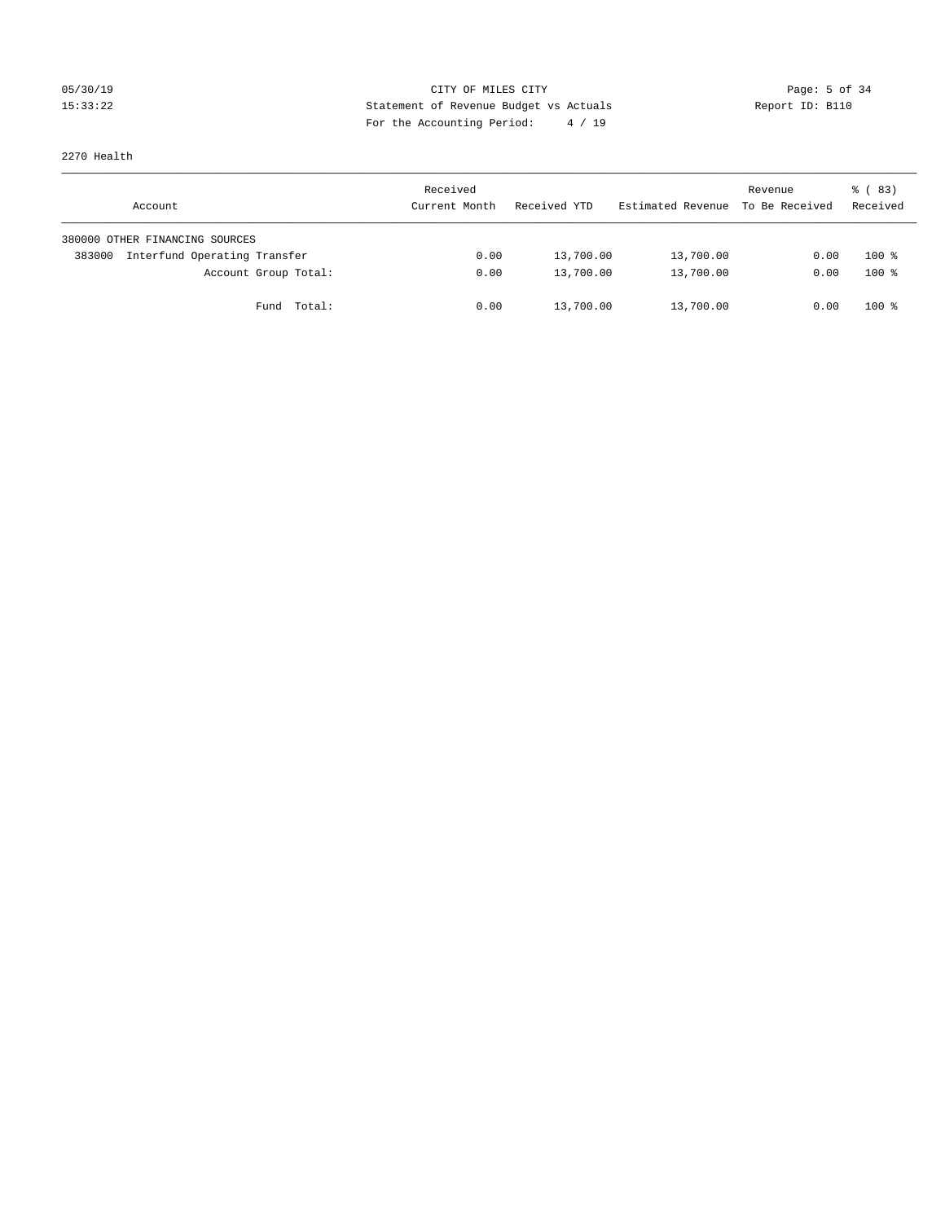# 05/30/19 CITY OF MILES CITY Page: 5 of 34 15:33:22 Statement of Revenue Budget vs Actuals Report ID: B110 For the Accounting Period: 4 / 19

2270 Health

| Account                                | Received<br>Current Month | Received YTD | Estimated Revenue | Revenue<br>To Be Received | 8 (83)<br>Received |
|----------------------------------------|---------------------------|--------------|-------------------|---------------------------|--------------------|
| 380000 OTHER FINANCING SOURCES         |                           |              |                   |                           |                    |
| Interfund Operating Transfer<br>383000 | 0.00                      | 13,700.00    | 13,700.00         | 0.00                      | $100*$             |
| Account Group Total:                   | 0.00                      | 13,700.00    | 13,700.00         | 0.00                      | $100*$             |
| Fund Total:                            | 0.00                      | 13,700.00    | 13,700.00         | 0.00                      | $100*$             |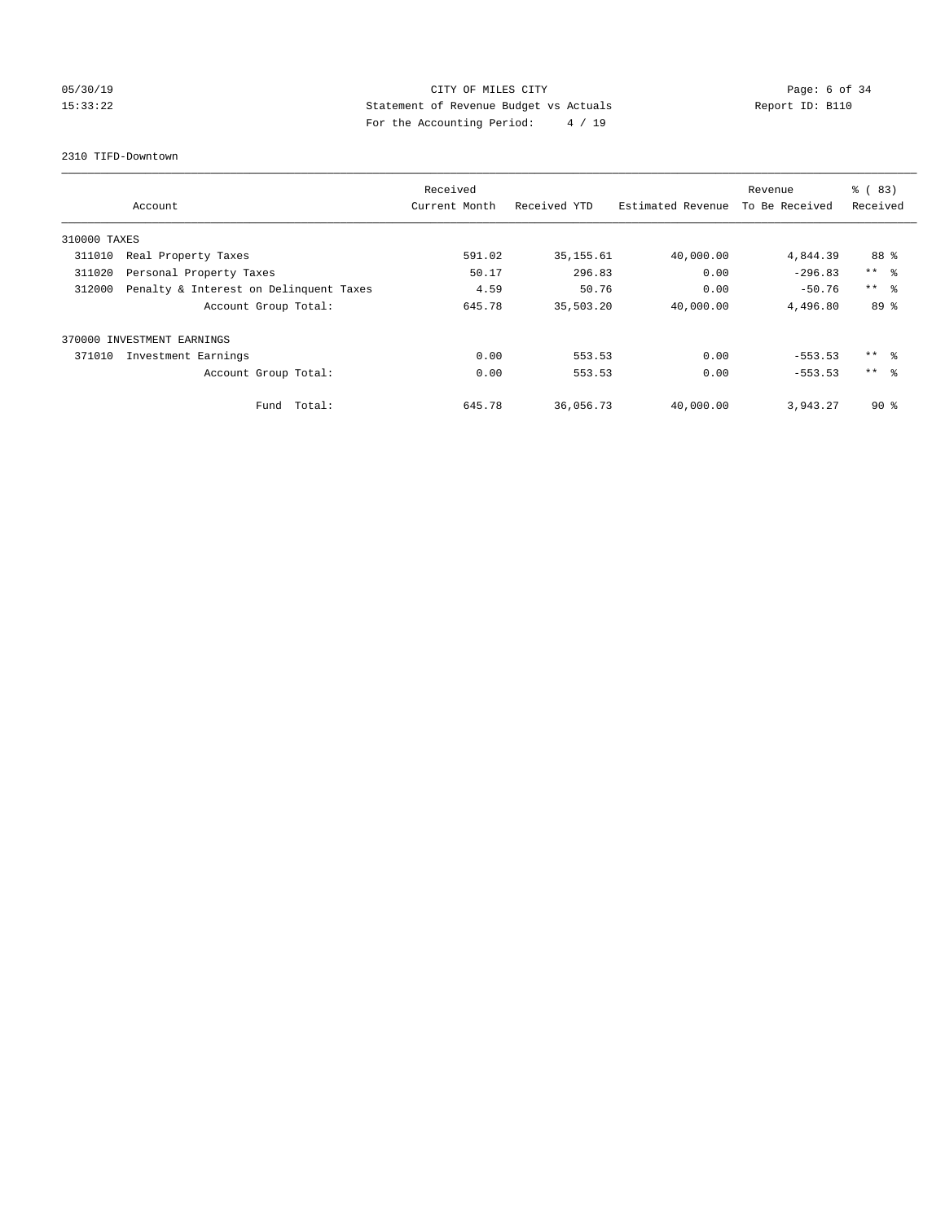# 05/30/19 CITY OF MILES CITY Page: 6 of 34 15:33:22 Statement of Revenue Budget vs Actuals Report ID: B110 For the Accounting Period: 4 / 19

### 2310 TIFD-Downtown

|              |                                        | Received      |              |                   | Revenue        | $\frac{8}{6}$ (83) |
|--------------|----------------------------------------|---------------|--------------|-------------------|----------------|--------------------|
|              | Account                                | Current Month | Received YTD | Estimated Revenue | To Be Received | Received           |
| 310000 TAXES |                                        |               |              |                   |                |                    |
| 311010       | Real Property Taxes                    | 591.02        | 35, 155.61   | 40,000.00         | 4,844.39       | 88 %               |
| 311020       | Personal Property Taxes                | 50.17         | 296.83       | 0.00              | $-296.83$      | $***$ $ -$         |
| 312000       | Penalty & Interest on Delinquent Taxes | 4.59          | 50.76        | 0.00              | $-50.76$       | $***$ $\approx$    |
|              | Account Group Total:                   | 645.78        | 35,503.20    | 40,000.00         | 4,496.80       | 89 %               |
|              | 370000 INVESTMENT EARNINGS             |               |              |                   |                |                    |
| 371010       | Investment Earnings                    | 0.00          | 553.53       | 0.00              | $-553.53$      | ** 왕               |
|              | Account Group Total:                   | 0.00          | 553.53       | 0.00              | $-553.53$      | $***$ $\approx$    |
|              | Fund Total:                            | 645.78        | 36,056.73    | 40,000.00         | 3,943.27       | $90*$              |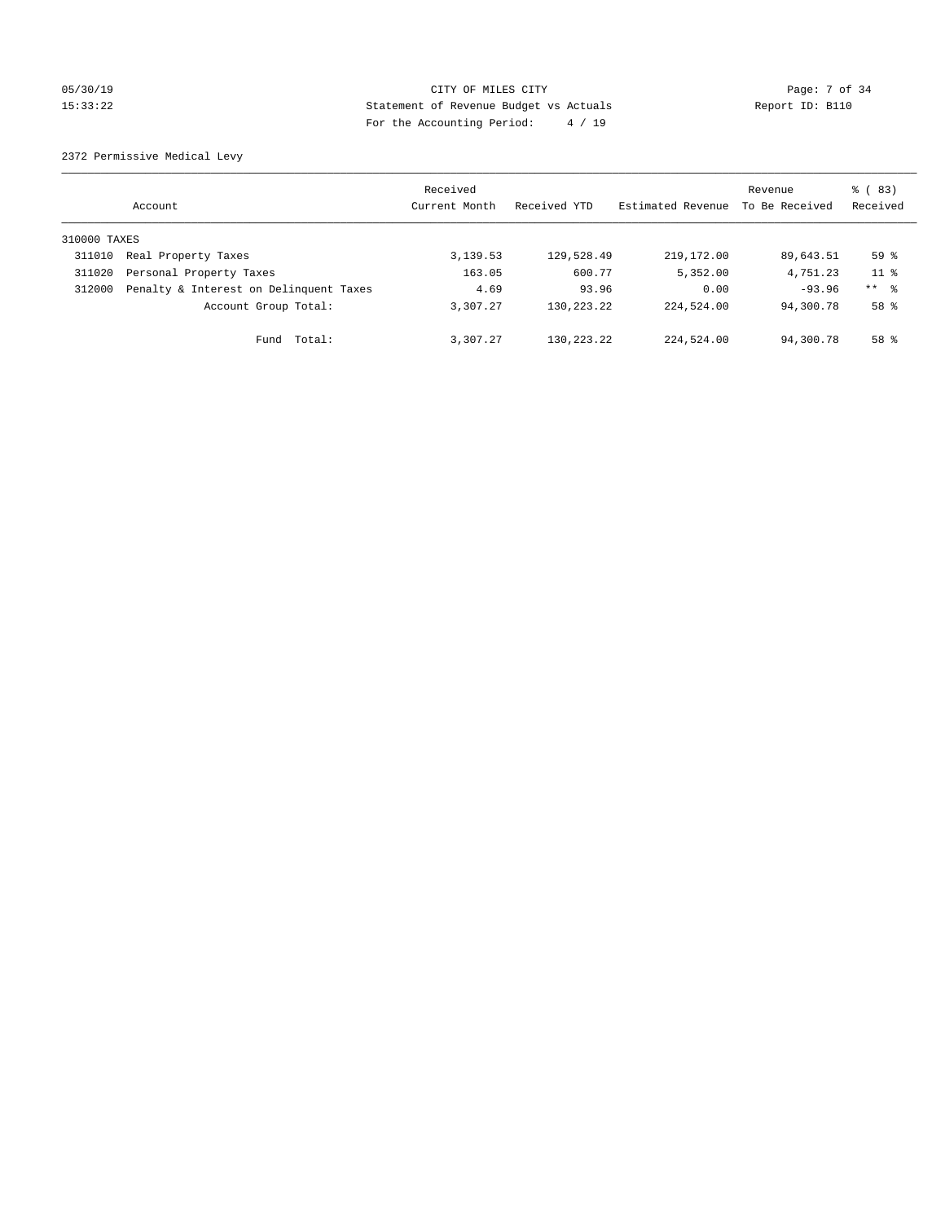# 05/30/19 Page: 7 of 34 15:33:22 Statement of Revenue Budget vs Actuals Report ID: B110 For the Accounting Period: 4 / 19

2372 Permissive Medical Levy

|              | Account                                | Received<br>Current Month | Received YTD | Estimated Revenue | Revenue<br>To Be Received | $\frac{6}{6}$ (83)<br>Received |
|--------------|----------------------------------------|---------------------------|--------------|-------------------|---------------------------|--------------------------------|
| 310000 TAXES |                                        |                           |              |                   |                           |                                |
| 311010       | Real Property Taxes                    | 3,139.53                  | 129,528.49   | 219, 172.00       | 89,643.51                 | 59 <sup>°</sup>                |
| 311020       | Personal Property Taxes                | 163.05                    | 600.77       | 5,352.00          | 4,751.23                  | 11 <sup>8</sup>                |
| 312000       | Penalty & Interest on Delinquent Taxes | 4.69                      | 93.96        | 0.00              | $-93.96$                  | $***$ $\frac{6}{5}$            |
|              | Account Group Total:                   | 3,307.27                  | 130, 223, 22 | 224,524.00        | 94,300.78                 | $58*$                          |
|              | Fund Total:                            | 3,307.27                  | 130,223.22   | 224,524.00        | 94,300.78                 | 58 %                           |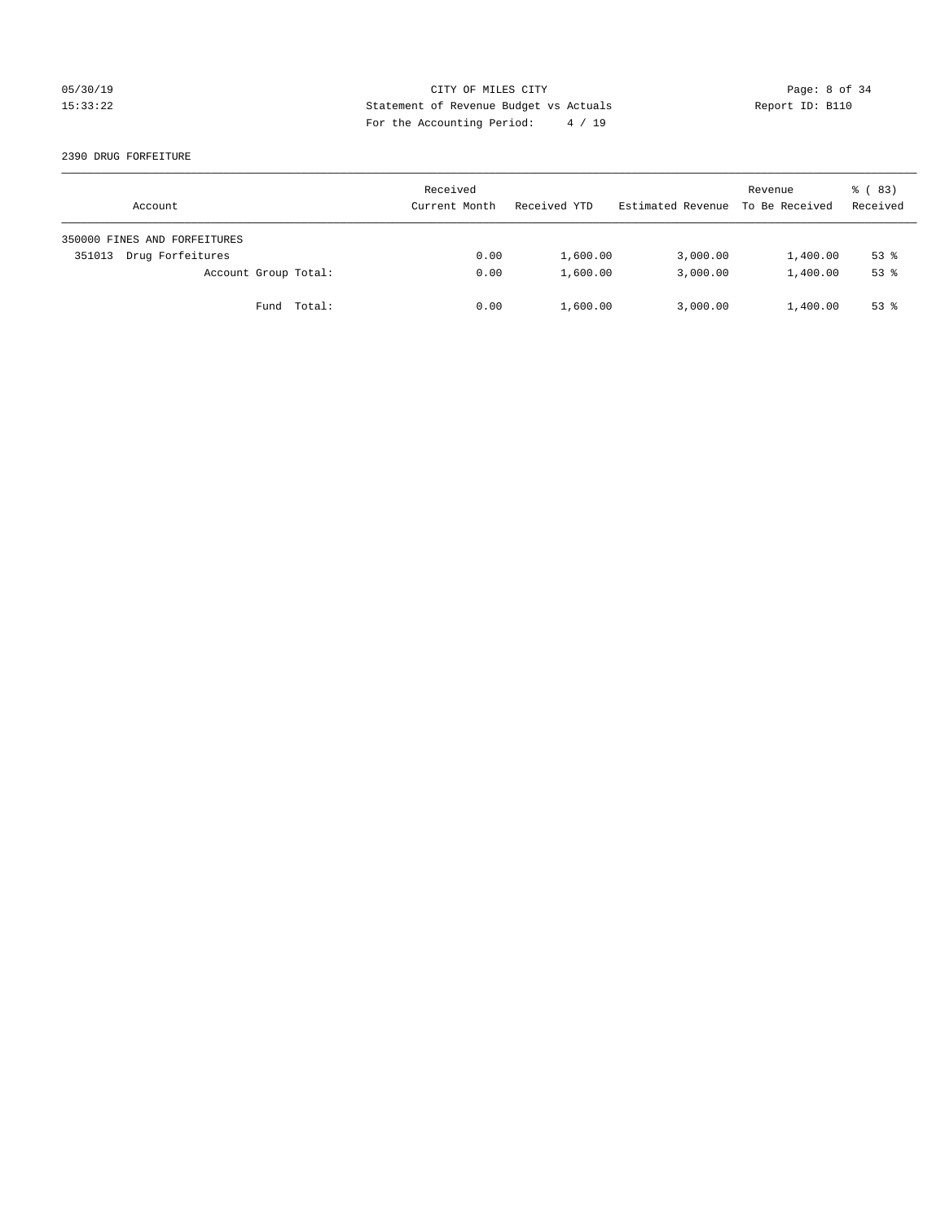# 05/30/19 CITY OF MILES CITY Page: 8 of 34 15:33:22 Statement of Revenue Budget vs Actuals Report ID: B110 For the Accounting Period: 4 / 19

### 2390 DRUG FORFEITURE

| Account                      | Received<br>Current Month | Received YTD | Estimated Revenue | Revenue<br>To Be Received | 8 (83)<br>Received |
|------------------------------|---------------------------|--------------|-------------------|---------------------------|--------------------|
| 350000 FINES AND FORFEITURES |                           |              |                   |                           |                    |
| Drug Forfeitures<br>351013   | 0.00                      | 1,600.00     | 3,000.00          | 1,400.00                  | $53$ $%$           |
| Account Group Total:         | 0.00                      | 1,600.00     | 3,000.00          | 1,400.00                  | $53$ $%$           |
| Fund Total:                  | 0.00                      | 1,600.00     | 3,000.00          | 1,400.00                  | $53$ $%$           |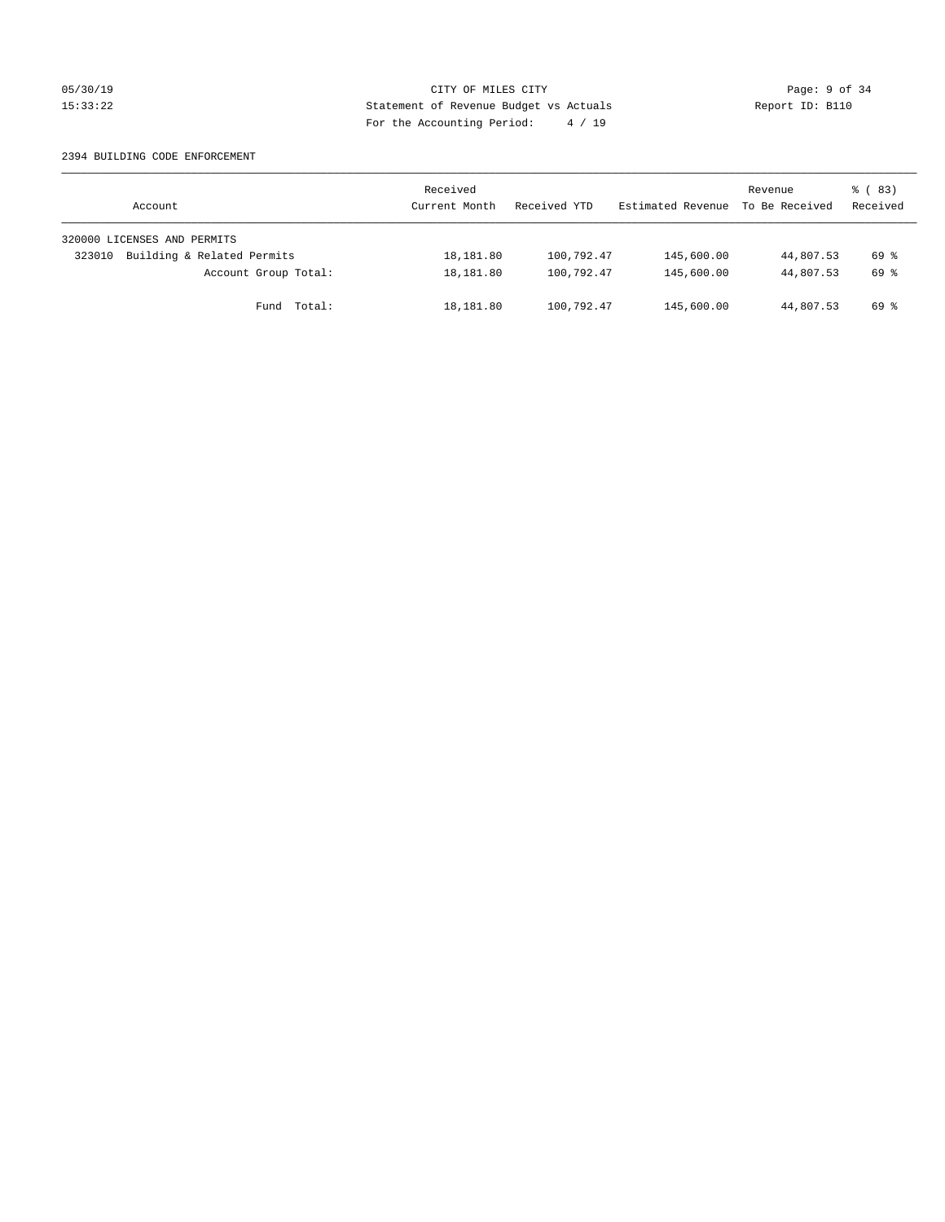# 05/30/19 CITY OF MILES CITY Page: 9 of 34 15:33:22 Statement of Revenue Budget vs Actuals Report ID: B110 For the Accounting Period: 4 / 19

### 2394 BUILDING CODE ENFORCEMENT

| Account                              | Received<br>Current Month | Received YTD | Estimated Revenue | Revenue<br>To Be Received | 8 (83)<br>Received |
|--------------------------------------|---------------------------|--------------|-------------------|---------------------------|--------------------|
| 320000 LICENSES AND PERMITS          |                           |              |                   |                           |                    |
| Building & Related Permits<br>323010 | 18,181.80                 | 100,792.47   | 145,600.00        | 44,807.53                 | 69 %               |
| Account Group Total:                 | 18,181.80                 | 100,792.47   | 145,600.00        | 44,807.53                 | 69 %               |
| Fund Total:                          | 18,181.80                 | 100,792.47   | 145,600.00        | 44,807.53                 | 69 %               |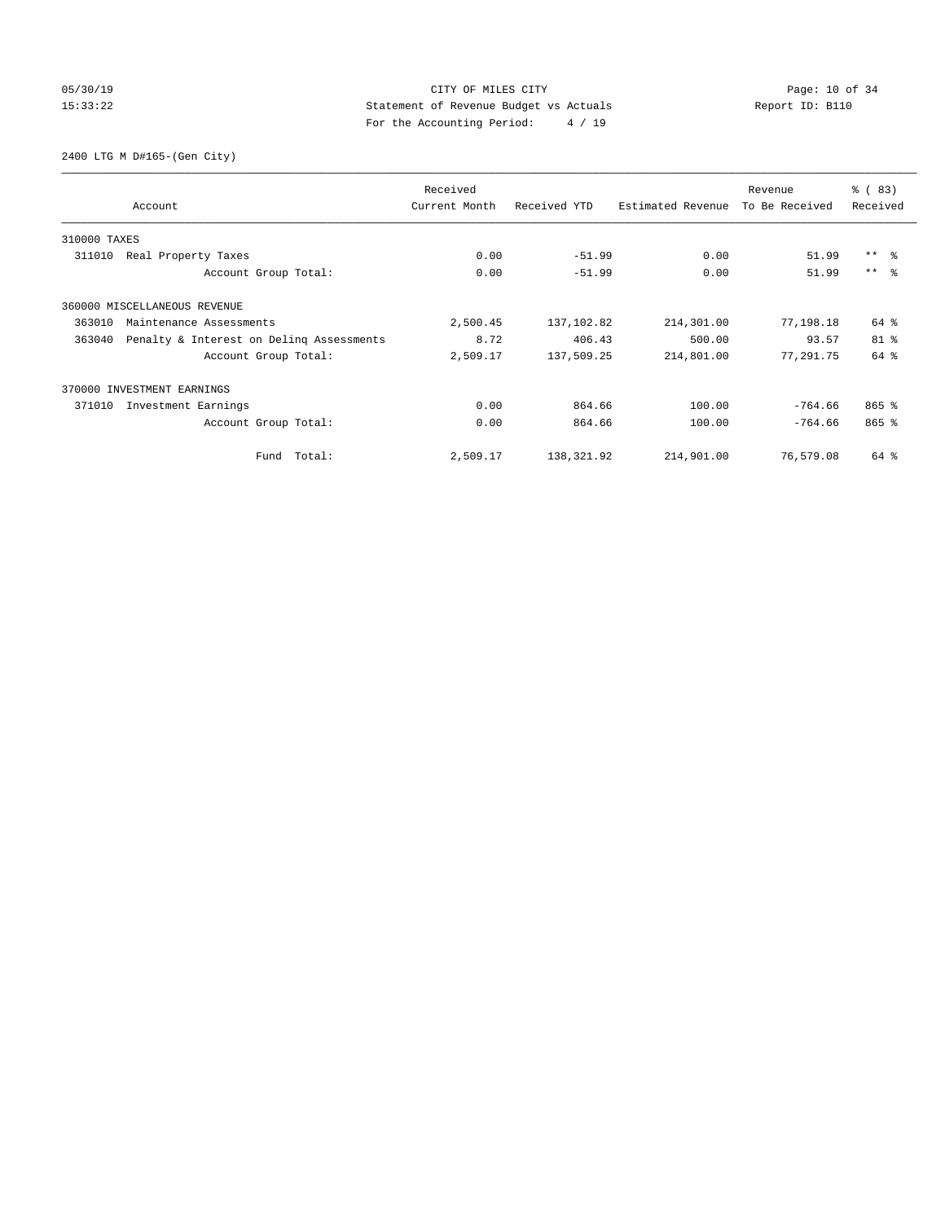# 05/30/19 Page: 10 of 34 15:33:22 Statement of Revenue Budget vs Actuals Report ID: B110 For the Accounting Period: 4 / 19

2400 LTG M D#165-(Gen City)

|              | Account                                  | Received<br>Current Month | Received YTD | Estimated Revenue | Revenue<br>To Be Received | % (83)<br>Received |
|--------------|------------------------------------------|---------------------------|--------------|-------------------|---------------------------|--------------------|
| 310000 TAXES |                                          |                           |              |                   |                           |                    |
| 311010       | Real Property Taxes                      | 0.00                      | $-51.99$     | 0.00              | 51.99                     | $***$ $ -$         |
|              | Account Group Total:                     | 0.00                      | $-51.99$     | 0.00              | 51.99                     | $***$ $\approx$    |
|              | 360000 MISCELLANEOUS REVENUE             |                           |              |                   |                           |                    |
| 363010       | Maintenance Assessments                  | 2,500.45                  | 137,102.82   | 214,301.00        | 77,198.18                 | 64 %               |
| 363040       | Penalty & Interest on Deling Assessments | 8.72                      | 406.43       | 500.00            | 93.57                     | $81$ %             |
|              | Account Group Total:                     | 2,509.17                  | 137,509.25   | 214,801.00        | 77,291.75                 | 64 %               |
|              | 370000 INVESTMENT EARNINGS               |                           |              |                   |                           |                    |
| 371010       | Investment Earnings                      | 0.00                      | 864.66       | 100.00            | $-764.66$                 | $865$ $%$          |
|              | Account Group Total:                     | 0.00                      | 864.66       | 100.00            | $-764.66$                 | $865$ $%$          |
|              | Fund Total:                              | 2,509.17                  | 138, 321.92  | 214,901.00        | 76,579.08                 | 64 %               |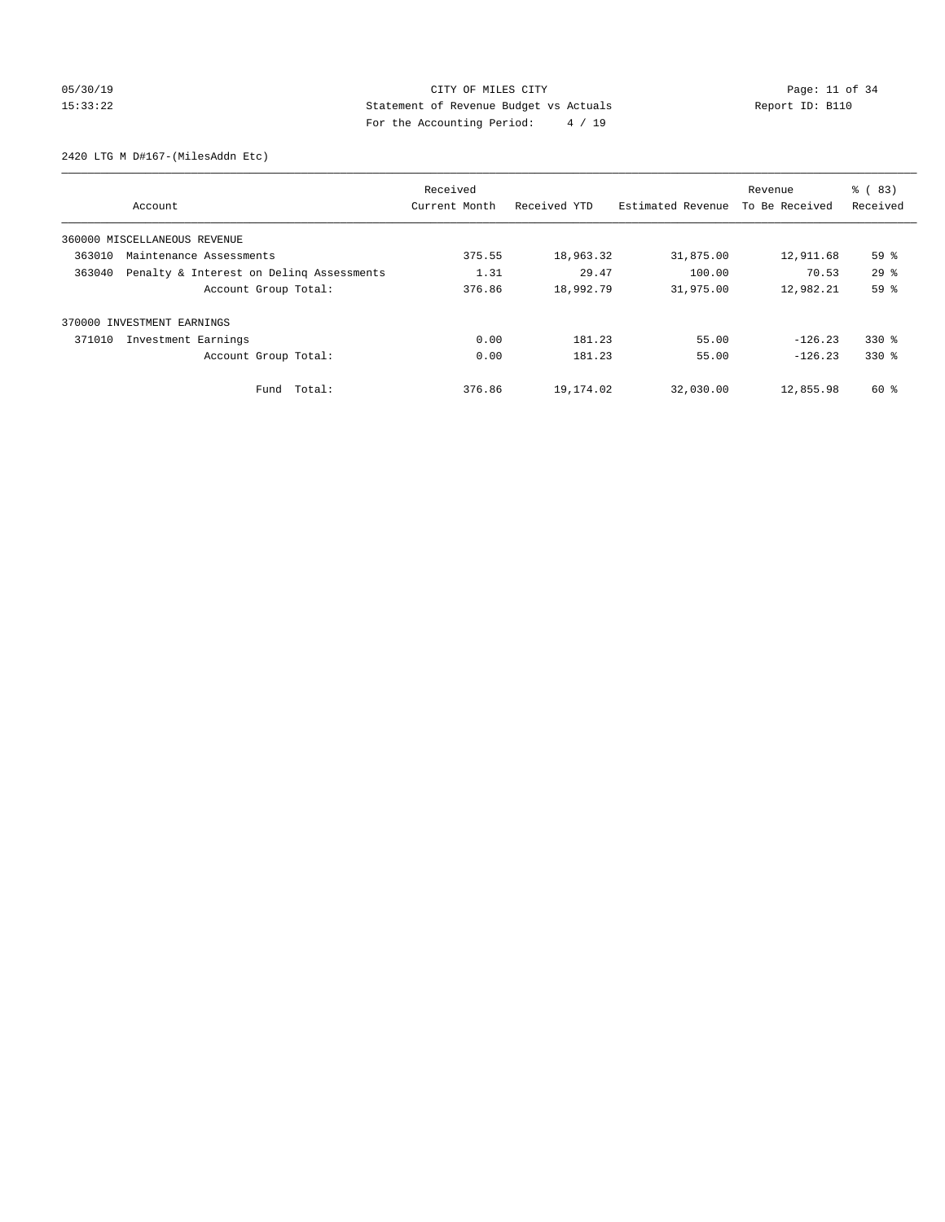# 05/30/19 Page: 11 of 34 15:33:22 Statement of Revenue Budget vs Actuals Report ID: B110 For the Accounting Period: 4 / 19

2420 LTG M D#167-(MilesAddn Etc)

|                                                    | Received      |              |                   | Revenue        | % (83)          |
|----------------------------------------------------|---------------|--------------|-------------------|----------------|-----------------|
| Account                                            | Current Month | Received YTD | Estimated Revenue | To Be Received | Received        |
| 360000 MISCELLANEOUS REVENUE                       |               |              |                   |                |                 |
| 363010<br>Maintenance Assessments                  | 375.55        | 18,963.32    | 31,875.00         | 12,911.68      | 59%             |
| Penalty & Interest on Deling Assessments<br>363040 | 1.31          | 29.47        | 100.00            | 70.53          | 29 <sup>8</sup> |
| Account Group Total:                               | 376.86        | 18,992.79    | 31,975.00         | 12,982.21      | 59 %            |
| INVESTMENT EARNINGS<br>370000                      |               |              |                   |                |                 |
| 371010<br>Investment Earnings                      | 0.00          | 181.23       | 55.00             | $-126.23$      | $330*$          |
| Account Group Total:                               | 0.00          | 181.23       | 55.00             | $-126.23$      | $330*$          |
| Fund Total:                                        | 376.86        | 19,174.02    | 32,030.00         | 12,855.98      | 60 %            |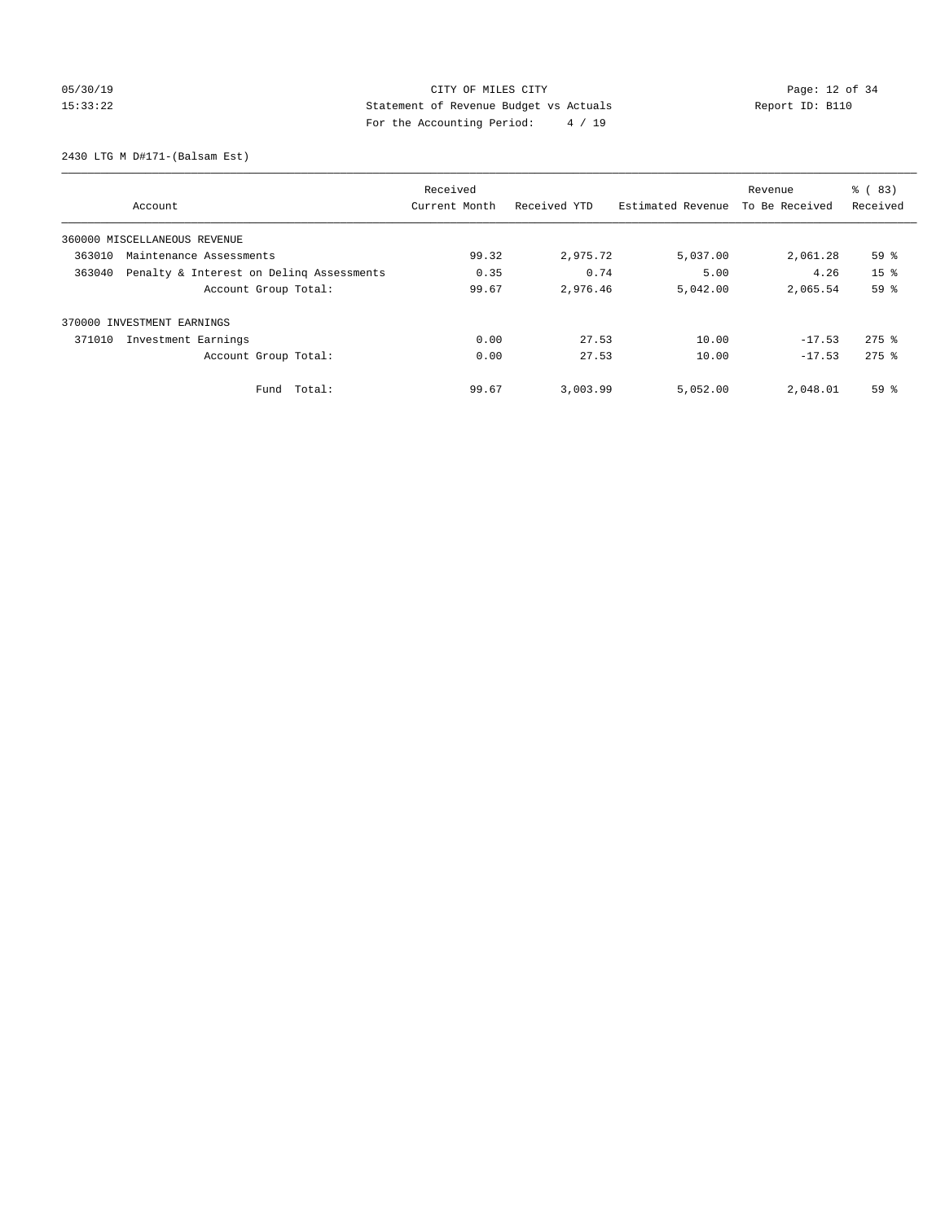# 05/30/19 Page: 12 of 34 15:33:22 Statement of Revenue Budget vs Actuals Report ID: B110 For the Accounting Period: 4 / 19

2430 LTG M D#171-(Balsam Est)

|                                                    | Received      |              |                   | Revenue        | $\frac{6}{6}$ (83)  |
|----------------------------------------------------|---------------|--------------|-------------------|----------------|---------------------|
| Account                                            | Current Month | Received YTD | Estimated Revenue | To Be Received | Received            |
| 360000 MISCELLANEOUS REVENUE                       |               |              |                   |                |                     |
| 363010<br>Maintenance Assessments                  | 99.32         | 2,975.72     | 5,037.00          | 2,061.28       | 59%                 |
| 363040<br>Penalty & Interest on Deling Assessments | 0.35          | 0.74         | 5.00              | 4.26           | 15 <sup>8</sup>     |
| Account Group Total:                               | 99.67         | 2,976.46     | 5,042.00          | 2,065.54       | 59 %                |
| 370000 INVESTMENT EARNINGS                         |               |              |                   |                |                     |
| 371010<br>Investment Earnings                      | 0.00          | 27.53        | 10.00             | $-17.53$       | $275$ $\frac{6}{5}$ |
| Account Group Total:                               | 0.00          | 27.53        | 10.00             | $-17.53$       | $275$ $\frac{6}{5}$ |
| Total:<br>Fund                                     | 99.67         | 3,003.99     | 5,052.00          | 2,048.01       | 59%                 |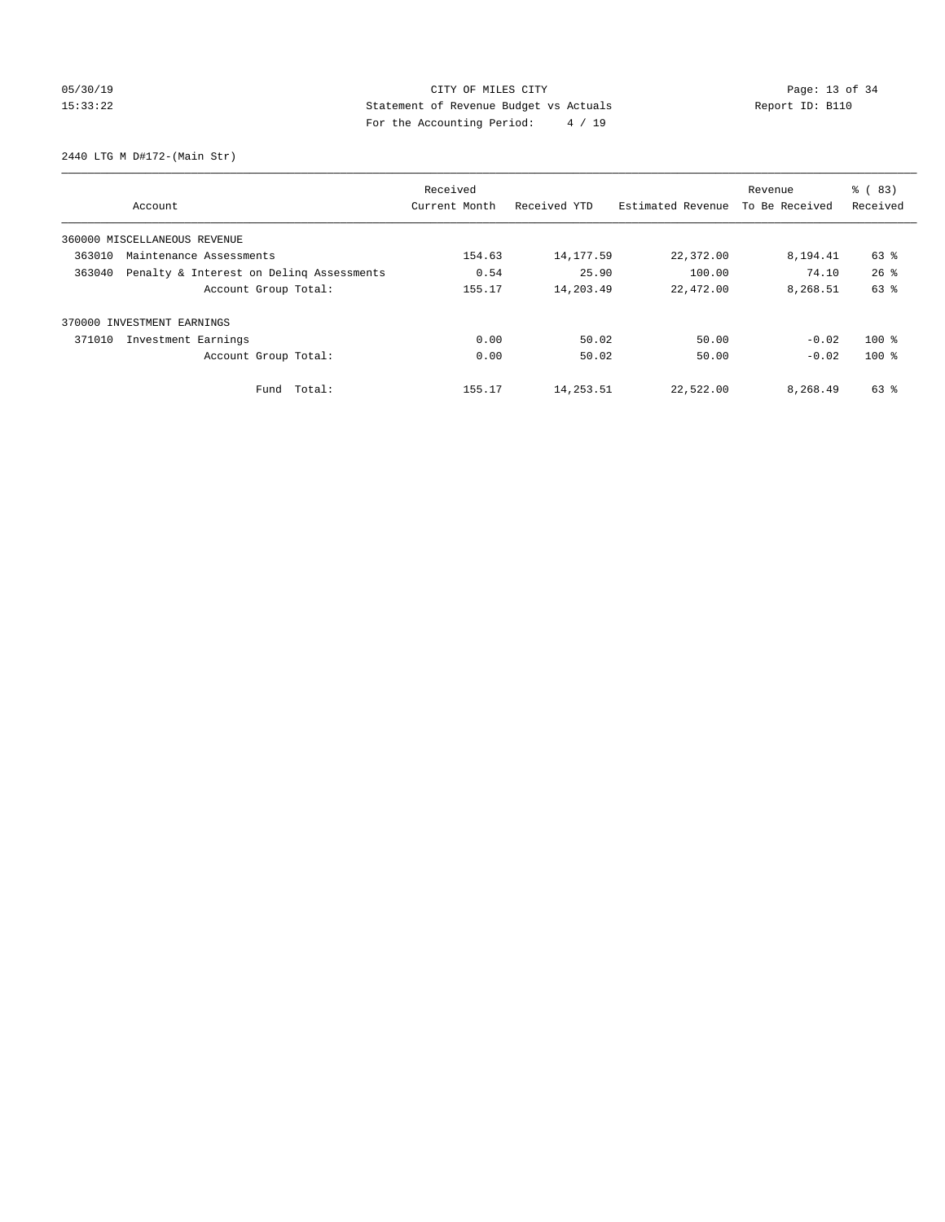# 05/30/19 Page: 13 of 34 15:33:22 Statement of Revenue Budget vs Actuals Report ID: B110 For the Accounting Period: 4 / 19

2440 LTG M D#172-(Main Str)

|        |                                          | Received      |              |                   | Revenue        | % (83)             |
|--------|------------------------------------------|---------------|--------------|-------------------|----------------|--------------------|
|        | Account                                  | Current Month | Received YTD | Estimated Revenue | To Be Received | Received           |
|        | 360000 MISCELLANEOUS REVENUE             |               |              |                   |                |                    |
| 363010 | Maintenance Assessments                  | 154.63        | 14, 177.59   | 22,372.00         | 8,194.41       | 63 %               |
| 363040 | Penalty & Interest on Deling Assessments | 0.54          | 25.90        | 100.00            | 74.10          | $26$ $\frac{6}{3}$ |
|        | Account Group Total:                     | 155.17        | 14,203.49    | 22,472.00         | 8,268.51       | 63 %               |
| 370000 | INVESTMENT EARNINGS                      |               |              |                   |                |                    |
| 371010 | Investment Earnings                      | 0.00          | 50.02        | 50.00             | $-0.02$        | $100*$             |
|        | Account Group Total:                     | 0.00          | 50.02        | 50.00             | $-0.02$        | $100*$             |
|        | Fund Total:                              | 155.17        | 14,253.51    | 22,522.00         | 8,268.49       | 63 %               |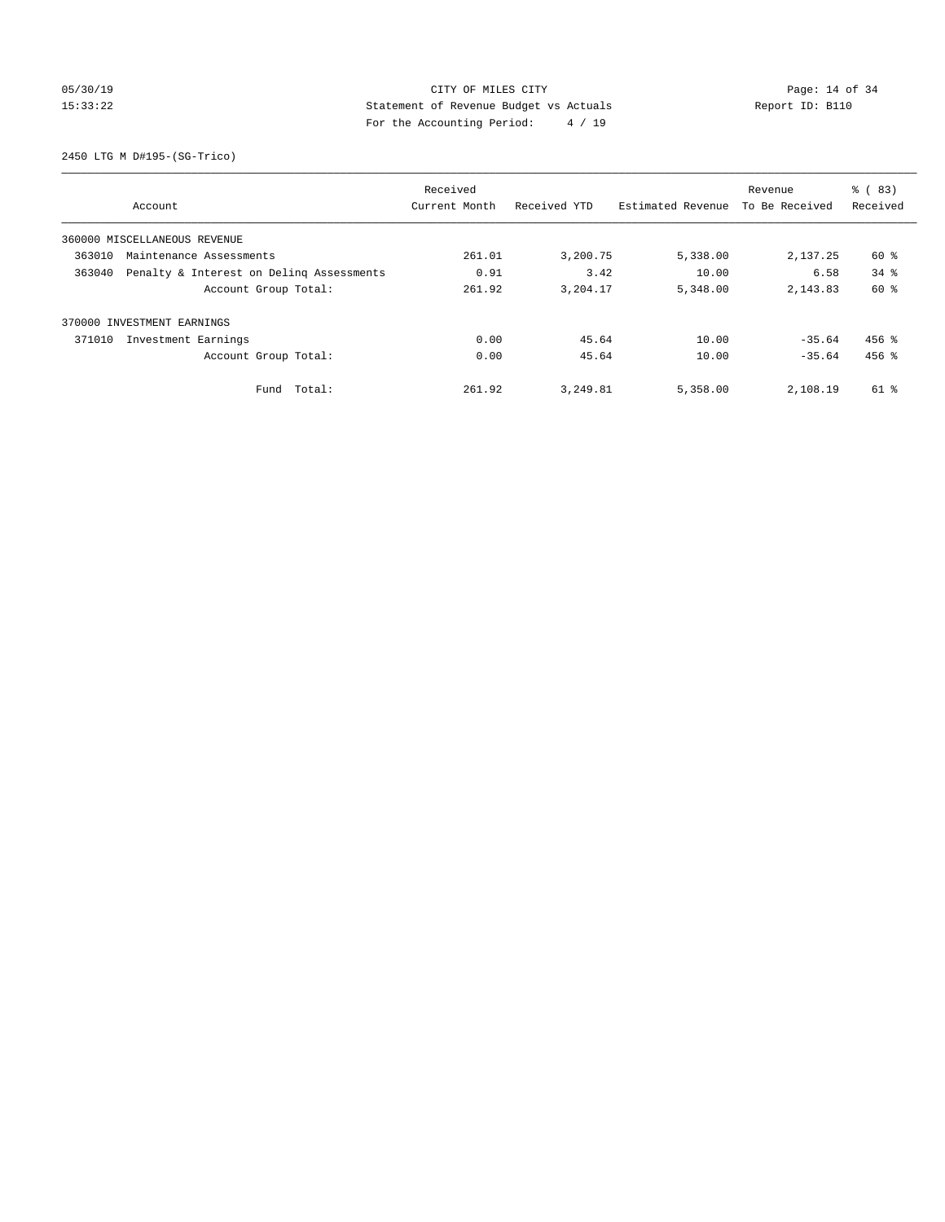# 05/30/19 Page: 14 of 34 15:33:22 Statement of Revenue Budget vs Actuals Report ID: B110 For the Accounting Period: 4 / 19

2450 LTG M D#195-(SG-Trico)

|                                                    | Received      |              |                   | Revenue        | % (83)   |
|----------------------------------------------------|---------------|--------------|-------------------|----------------|----------|
| Account                                            | Current Month | Received YTD | Estimated Revenue | To Be Received | Received |
| 360000 MISCELLANEOUS REVENUE                       |               |              |                   |                |          |
| 363010<br>Maintenance Assessments                  | 261.01        | 3,200.75     | 5,338.00          | 2,137.25       | 60 %     |
| 363040<br>Penalty & Interest on Deling Assessments | 0.91          | 3.42         | 10.00             | 6.58           | $34$ $%$ |
| Account Group Total:                               | 261.92        | 3,204.17     | 5,348.00          | 2, 143.83      | 60 %     |
| 370000 INVESTMENT EARNINGS                         |               |              |                   |                |          |
| 371010<br>Investment Earnings                      | 0.00          | 45.64        | 10.00             | $-35.64$       | $456$ %  |
| Account Group Total:                               | 0.00          | 45.64        | 10.00             | $-35.64$       | $456$ %  |
| Total:<br>Fund                                     | 261.92        | 3,249.81     | 5,358.00          | 2,108.19       | 61 %     |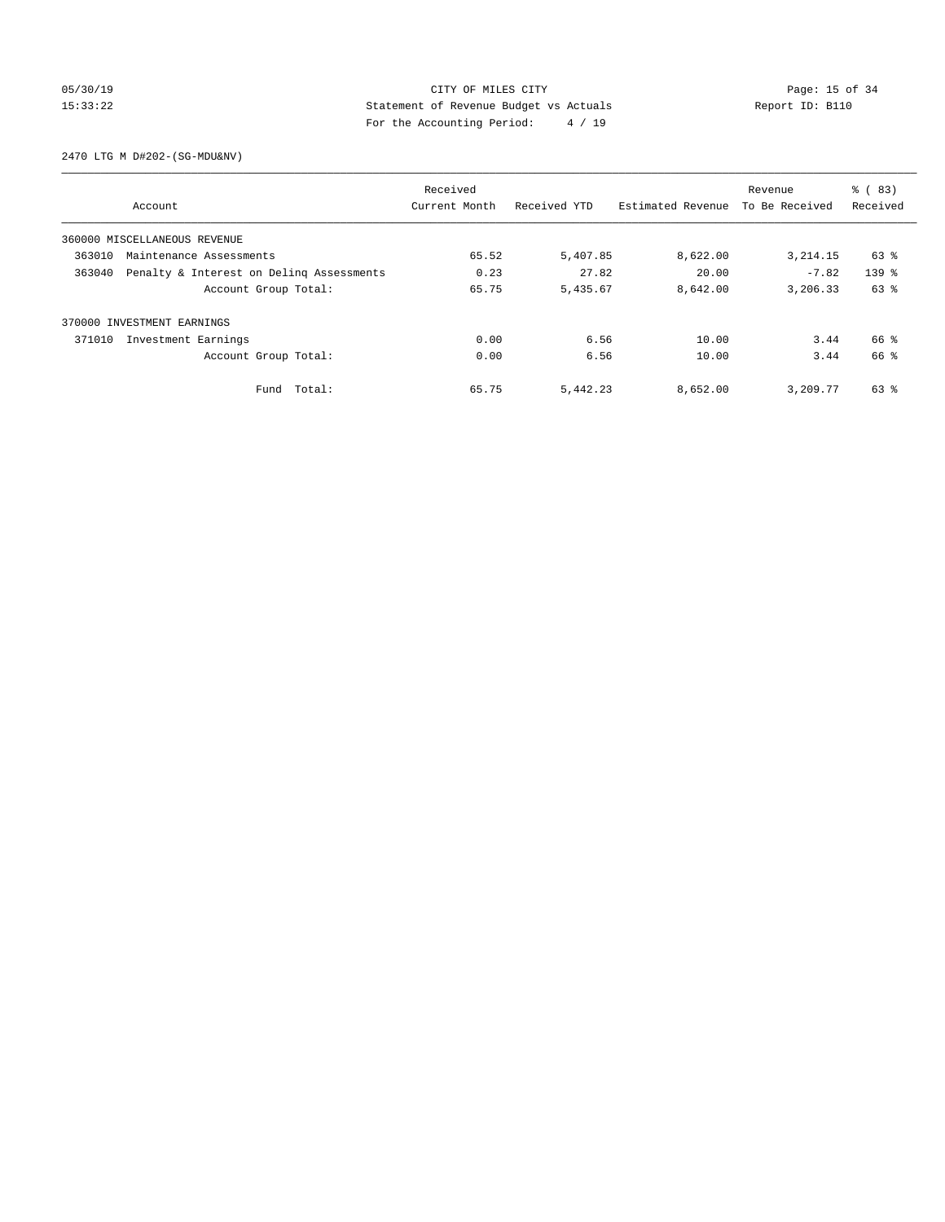# 05/30/19 Page: 15 of 34 15:33:22 Statement of Revenue Budget vs Actuals Report ID: B110 For the Accounting Period: 4 / 19

2470 LTG M D#202-(SG-MDU&NV)

|                              |                                          | Received      |              |                   | Revenue        | % (83)    |
|------------------------------|------------------------------------------|---------------|--------------|-------------------|----------------|-----------|
|                              | Account                                  | Current Month | Received YTD | Estimated Revenue | To Be Received | Received  |
| 360000 MISCELLANEOUS REVENUE |                                          |               |              |                   |                |           |
| 363010                       | Maintenance Assessments                  | 65.52         | 5,407.85     | 8,622.00          | 3, 214.15      | 63 %      |
| 363040                       | Penalty & Interest on Deling Assessments | 0.23          | 27.82        | 20.00             | $-7.82$        | $139$ $%$ |
|                              | Account Group Total:                     | 65.75         | 5,435.67     | 8,642.00          | 3,206.33       | 63 %      |
| 370000 INVESTMENT EARNINGS   |                                          |               |              |                   |                |           |
| 371010                       | Investment Earnings                      | 0.00          | 6.56         | 10.00             | 3.44           | 66 %      |
|                              | Account Group Total:                     | 0.00          | 6.56         | 10.00             | 3.44           | 66 %      |
|                              | Fund Total:                              | 65.75         | 5,442.23     | 8,652.00          | 3,209.77       | 63 %      |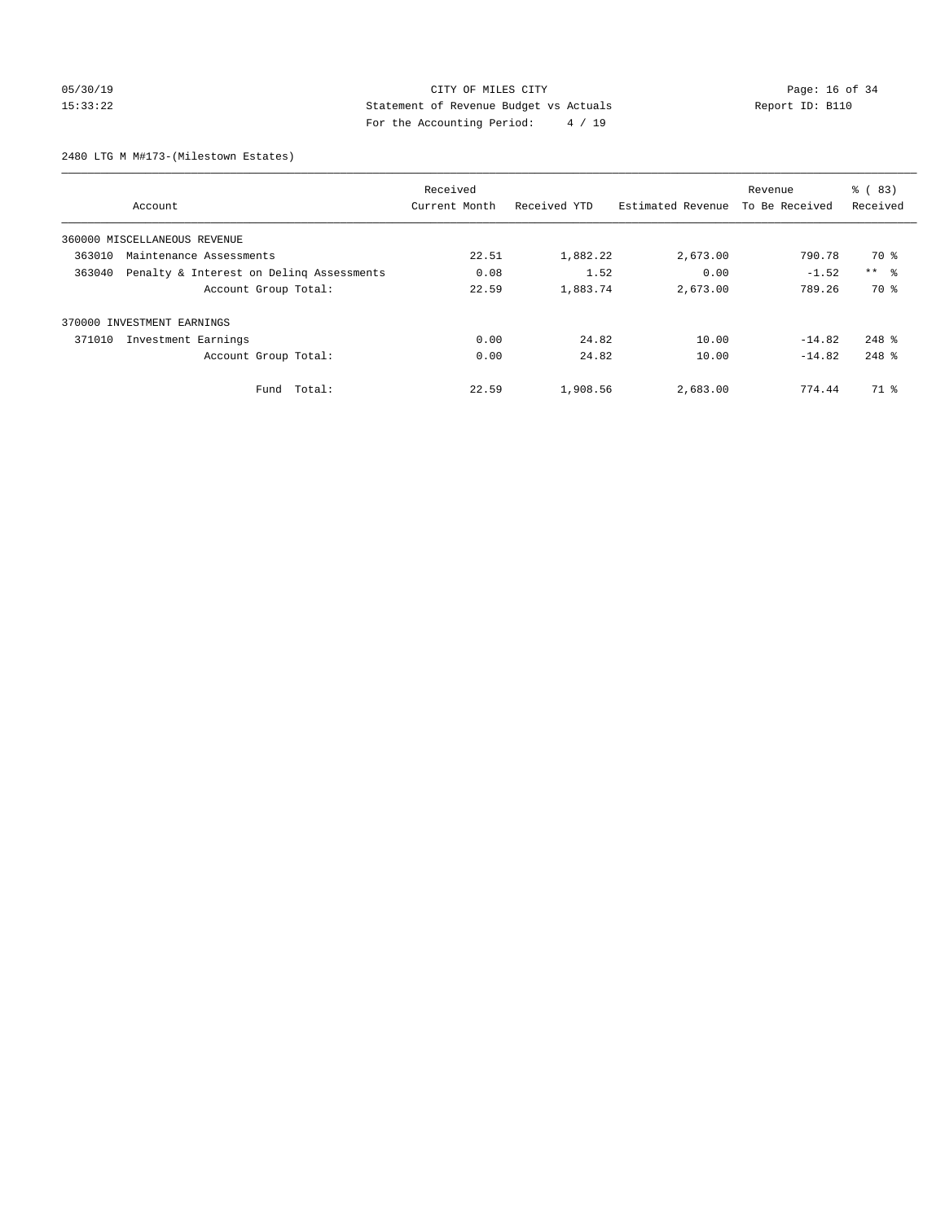# 05/30/19 Page: 16 of 34 15:33:22 Statement of Revenue Budget vs Actuals Report ID: B110 For the Accounting Period: 4 / 19

2480 LTG M M#173-(Milestown Estates)

|        |                                          | Received      |              |                   | Revenue        | % (83)     |
|--------|------------------------------------------|---------------|--------------|-------------------|----------------|------------|
|        | Account                                  | Current Month | Received YTD | Estimated Revenue | To Be Received | Received   |
|        | 360000 MISCELLANEOUS REVENUE             |               |              |                   |                |            |
| 363010 | Maintenance Assessments                  | 22.51         | 1,882.22     | 2,673.00          | 790.78         | 70 %       |
| 363040 | Penalty & Interest on Deling Assessments | 0.08          | 1.52         | 0.00              | $-1.52$        | $***$ $ -$ |
|        | Account Group Total:                     | 22.59         | 1,883.74     | 2,673.00          | 789.26         | 70 %       |
|        | 370000 INVESTMENT EARNINGS               |               |              |                   |                |            |
| 371010 | Investment Earnings                      | 0.00          | 24.82        | 10.00             | $-14.82$       | $248$ $%$  |
|        | Account Group Total:                     | 0.00          | 24.82        | 10.00             | $-14.82$       | $248$ $%$  |
|        | Fund Total:                              | 22.59         | 1,908.56     | 2,683.00          | 774.44         | 71 %       |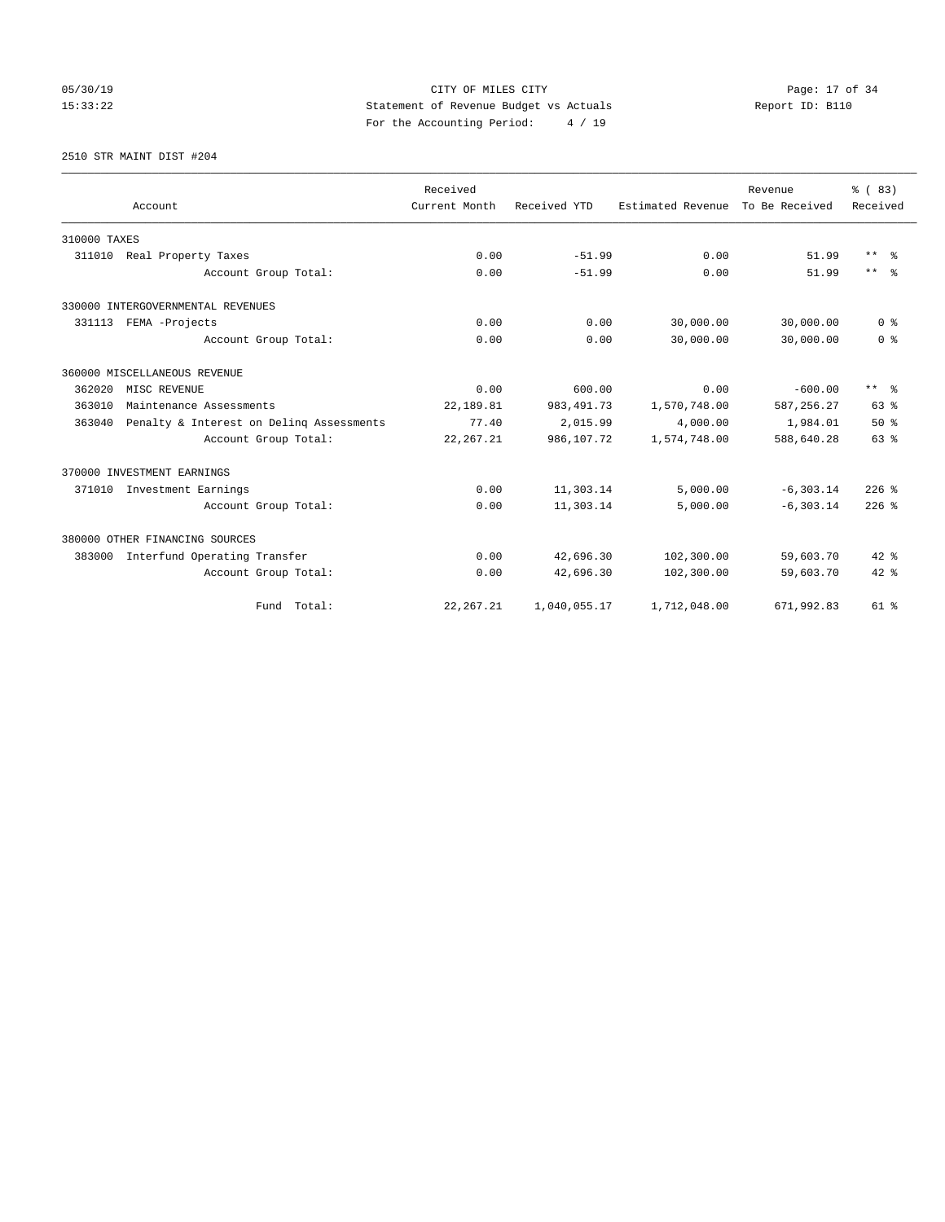05/30/19 Page: 17 of 34 15:33:22 Statement of Revenue Budget vs Actuals Report ID: B110 For the Accounting Period: 4 / 19

2510 STR MAINT DIST #204

|              |                                          | Received      |              |                   | Revenue        | % (83)         |
|--------------|------------------------------------------|---------------|--------------|-------------------|----------------|----------------|
|              | Account                                  | Current Month | Received YTD | Estimated Revenue | To Be Received | Received       |
| 310000 TAXES |                                          |               |              |                   |                |                |
| 311010       | Real Property Taxes                      | 0.00          | $-51.99$     | 0.00              | 51.99          | $***$ $=$      |
|              | Account Group Total:                     | 0.00          | $-51.99$     | 0.00              | 51.99          | $***$ $=$      |
|              | 330000 INTERGOVERNMENTAL REVENUES        |               |              |                   |                |                |
|              | 331113 FEMA -Projects                    | 0.00          | 0.00         | 30,000.00         | 30,000.00      | 0 <sup>8</sup> |
|              | Account Group Total:                     | 0.00          | 0.00         | 30,000.00         | 30,000.00      | 0 <sup>8</sup> |
|              | 360000 MISCELLANEOUS REVENUE             |               |              |                   |                |                |
| 362020       | MISC REVENUE                             | 0.00          | 600.00       | 0.00              | $-600.00$      | $***$ $%$      |
| 363010       | Maintenance Assessments                  | 22,189.81     | 983, 491.73  | 1,570,748.00      | 587, 256.27    | 63 %           |
| 363040       | Penalty & Interest on Deling Assessments | 77.40         | 2,015.99     | 4,000.00          | 1,984.01       | $50*$          |
|              | Account Group Total:                     | 22, 267.21    | 986,107.72   | 1,574,748.00      | 588,640.28     | 63 %           |
|              | 370000 INVESTMENT EARNINGS               |               |              |                   |                |                |
|              | 371010 Investment Earnings               | 0.00          | 11,303.14    | 5,000.00          | $-6, 303.14$   | $226$ %        |
|              | Account Group Total:                     | 0.00          | 11,303.14    | 5,000.00          | $-6, 303.14$   | $226$ $%$      |
|              | 380000 OTHER FINANCING SOURCES           |               |              |                   |                |                |
| 383000       | Interfund Operating Transfer             | 0.00          | 42,696.30    | 102,300.00        | 59,603.70      | $42$ %         |
|              | Account Group Total:                     | 0.00          | 42,696.30    | 102,300.00        | 59,603.70      | $42*$          |
|              | Fund Total:                              | 22, 267.21    | 1,040,055.17 | 1,712,048.00      | 671,992.83     | $61$ $%$       |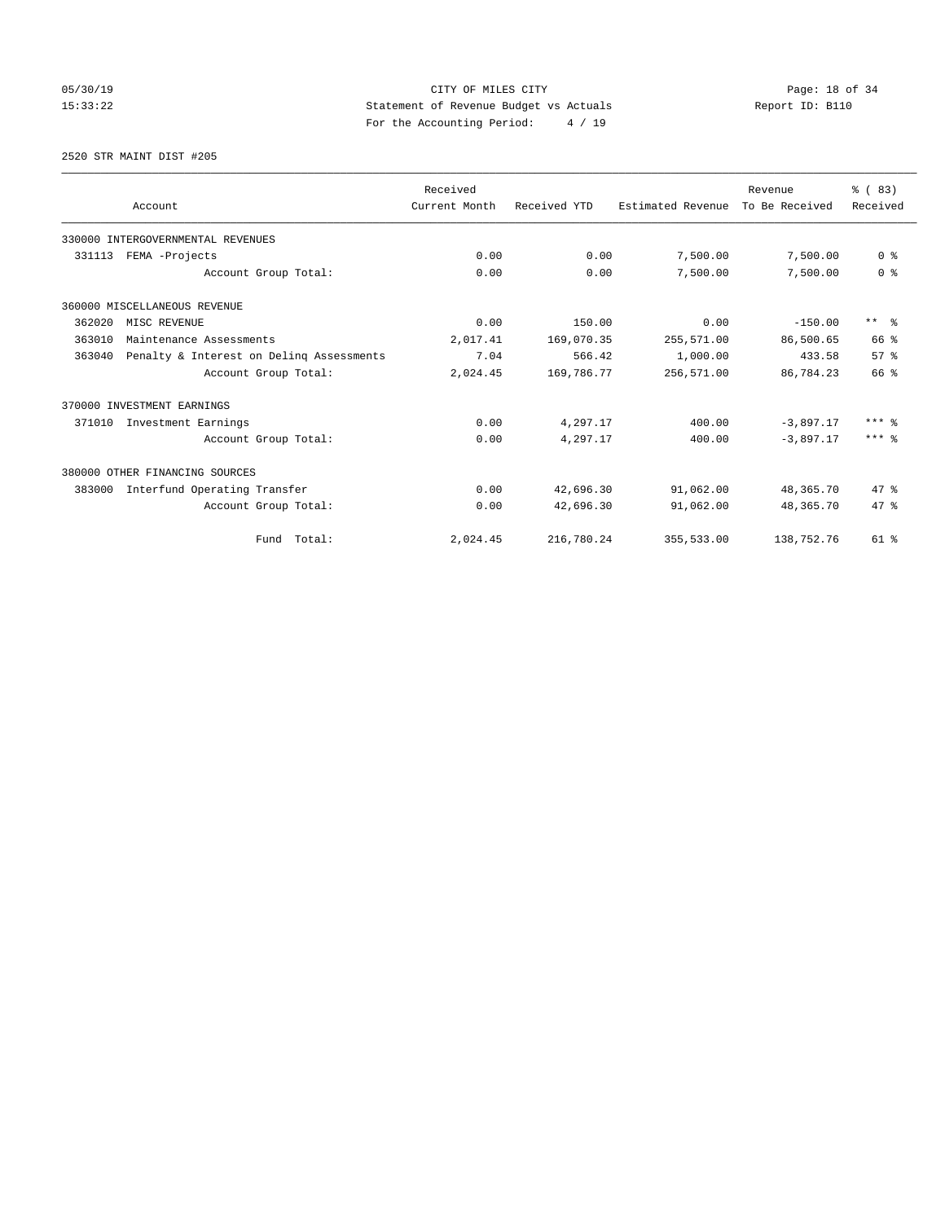# 05/30/19 Page: 18 of 34 15:33:22 Statement of Revenue Budget vs Actuals Report ID: B110 For the Accounting Period: 4 / 19

2520 STR MAINT DIST #205

|        |                                          | Received      |              |                   | Revenue        | % (83)         |
|--------|------------------------------------------|---------------|--------------|-------------------|----------------|----------------|
|        | Account                                  | Current Month | Received YTD | Estimated Revenue | To Be Received | Received       |
|        | 330000 INTERGOVERNMENTAL REVENUES        |               |              |                   |                |                |
| 331113 | FEMA -Projects                           | 0.00          | 0.00         | 7,500.00          | 7,500.00       | 0 <sup>8</sup> |
|        | Account Group Total:                     | 0.00          | 0.00         | 7,500.00          | 7,500.00       | 0 <sup>8</sup> |
|        | 360000 MISCELLANEOUS REVENUE             |               |              |                   |                |                |
| 362020 | MISC REVENUE                             | 0.00          | 150.00       | 0.00              | $-150.00$      | $***$ $=$      |
| 363010 | Maintenance Assessments                  | 2,017.41      | 169,070.35   | 255,571.00        | 86,500.65      | 66 %           |
| 363040 | Penalty & Interest on Deling Assessments | 7.04          | 566.42       | 1,000.00          | 433.58         | 57%            |
|        | Account Group Total:                     | 2,024.45      | 169,786.77   | 256,571.00        | 86,784.23      | 66 %           |
|        | 370000 INVESTMENT EARNINGS               |               |              |                   |                |                |
| 371010 | Investment Earnings                      | 0.00          | 4,297.17     | 400.00            | $-3.897.17$    | $***$ 8        |
|        | Account Group Total:                     | 0.00          | 4,297.17     | 400.00            | $-3.897.17$    | $***$ 2        |
|        | 380000 OTHER FINANCING SOURCES           |               |              |                   |                |                |
| 383000 | Interfund Operating Transfer             | 0.00          | 42,696.30    | 91,062.00         | 48,365.70      | $47*$          |
|        | Account Group Total:                     | 0.00          | 42,696.30    | 91,062.00         | 48,365.70      | 47.8           |
|        | Fund Total:                              | 2,024.45      | 216,780.24   | 355,533.00        | 138,752.76     | $61$ $%$       |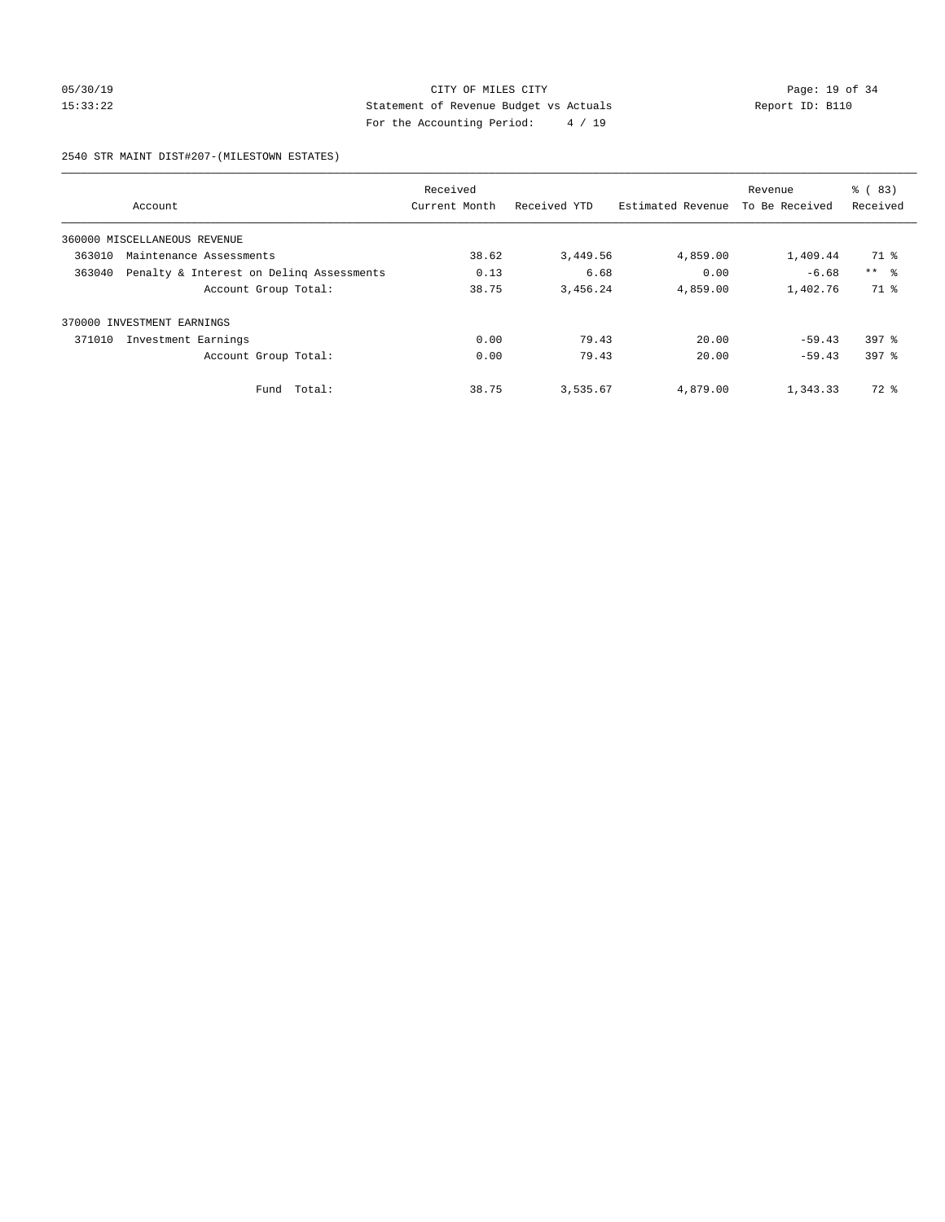# 05/30/19 Page: 19 of 34 15:33:22 Statement of Revenue Budget vs Actuals Report ID: B110 For the Accounting Period: 4 / 19

2540 STR MAINT DIST#207-(MILESTOWN ESTATES)

|        |                                          | Received      |              |                   | Revenue        | % (83)          |
|--------|------------------------------------------|---------------|--------------|-------------------|----------------|-----------------|
|        | Account                                  | Current Month | Received YTD | Estimated Revenue | To Be Received | Received        |
|        | 360000 MISCELLANEOUS REVENUE             |               |              |                   |                |                 |
| 363010 | Maintenance Assessments                  | 38.62         | 3,449.56     | 4,859.00          | 1,409.44       | 71 %            |
| 363040 | Penalty & Interest on Deling Assessments | 0.13          | 6.68         | 0.00              | $-6.68$        | $***$ $\approx$ |
|        | Account Group Total:                     | 38.75         | 3,456.24     | 4,859.00          | 1,402.76       | 71 %            |
|        | 370000 INVESTMENT EARNINGS               |               |              |                   |                |                 |
| 371010 | Investment Earnings                      | 0.00          | 79.43        | 20.00             | $-59.43$       | $397$ $%$       |
|        | Account Group Total:                     | 0.00          | 79.43        | 20.00             | $-59.43$       | 397 %           |
|        | Total:<br>Fund                           | 38.75         | 3,535.67     | 4,879.00          | 1,343.33       | 72 %            |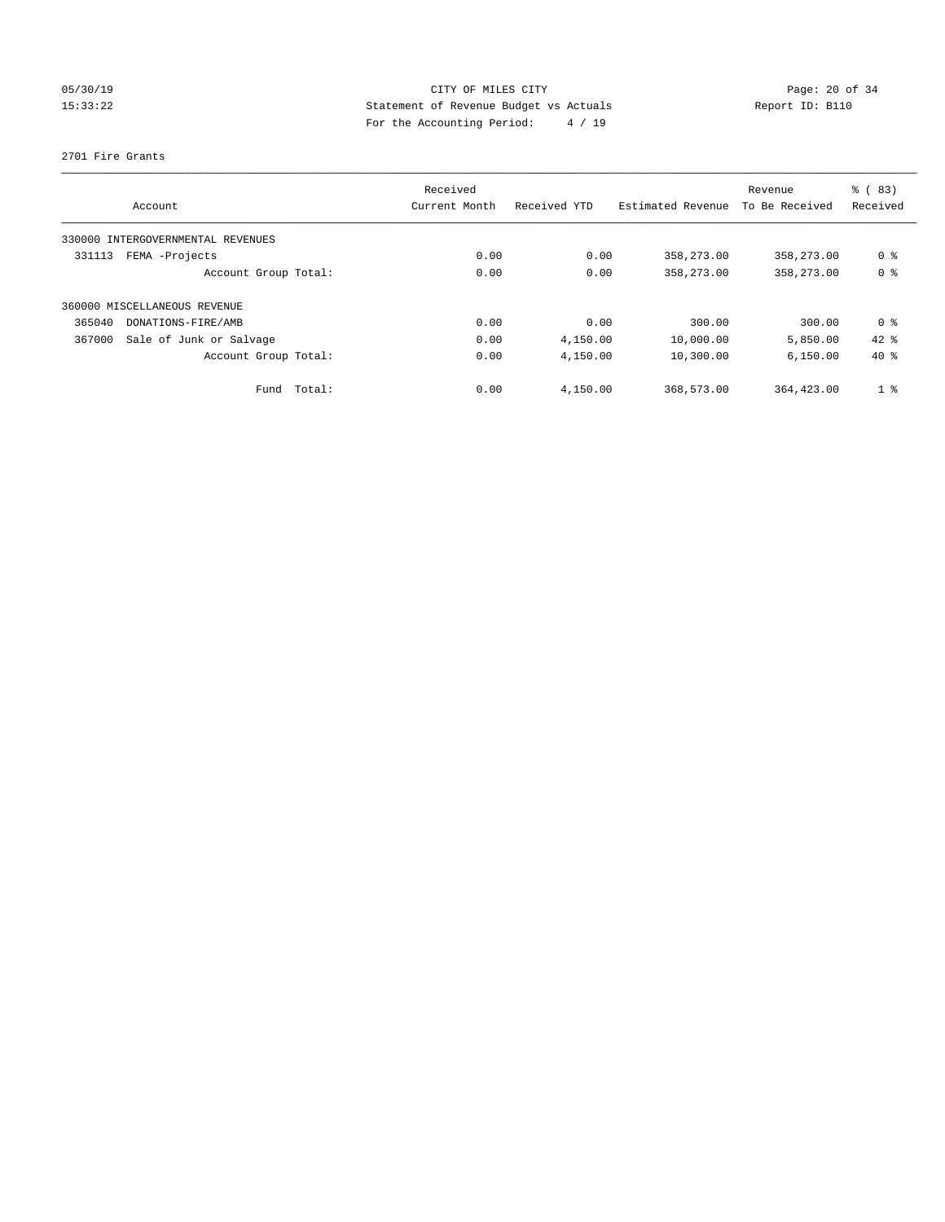# 05/30/19 Page: 20 of 34 15:33:22 Statement of Revenue Budget vs Actuals Report ID: B110 For the Accounting Period: 4 / 19

### 2701 Fire Grants

| Account                           | Received<br>Current Month | Received YTD | Estimated Revenue | Revenue<br>To Be Received | % (83)<br>Received |
|-----------------------------------|---------------------------|--------------|-------------------|---------------------------|--------------------|
|                                   |                           |              |                   |                           |                    |
| 330000 INTERGOVERNMENTAL REVENUES |                           |              |                   |                           |                    |
| 331113<br>FEMA -Projects          | 0.00                      | 0.00         | 358,273.00        | 358,273.00                | 0 <sup>8</sup>     |
| Account Group Total:              | 0.00                      | 0.00         | 358,273.00        | 358, 273, 00              | 0 <sup>8</sup>     |
| 360000 MISCELLANEOUS REVENUE      |                           |              |                   |                           |                    |
| 365040<br>DONATIONS-FIRE/AMB      | 0.00                      | 0.00         | 300.00            | 300.00                    | 0 %                |
| Sale of Junk or Salvage<br>367000 | 0.00                      | 4,150.00     | 10,000.00         | 5,850.00                  | $42$ %             |
| Account Group Total:              | 0.00                      | 4,150.00     | 10,300.00         | 6,150.00                  | $40*$              |
| Total:<br>Fund                    | 0.00                      | 4,150.00     | 368,573.00        | 364,423.00                | 1 <sup>8</sup>     |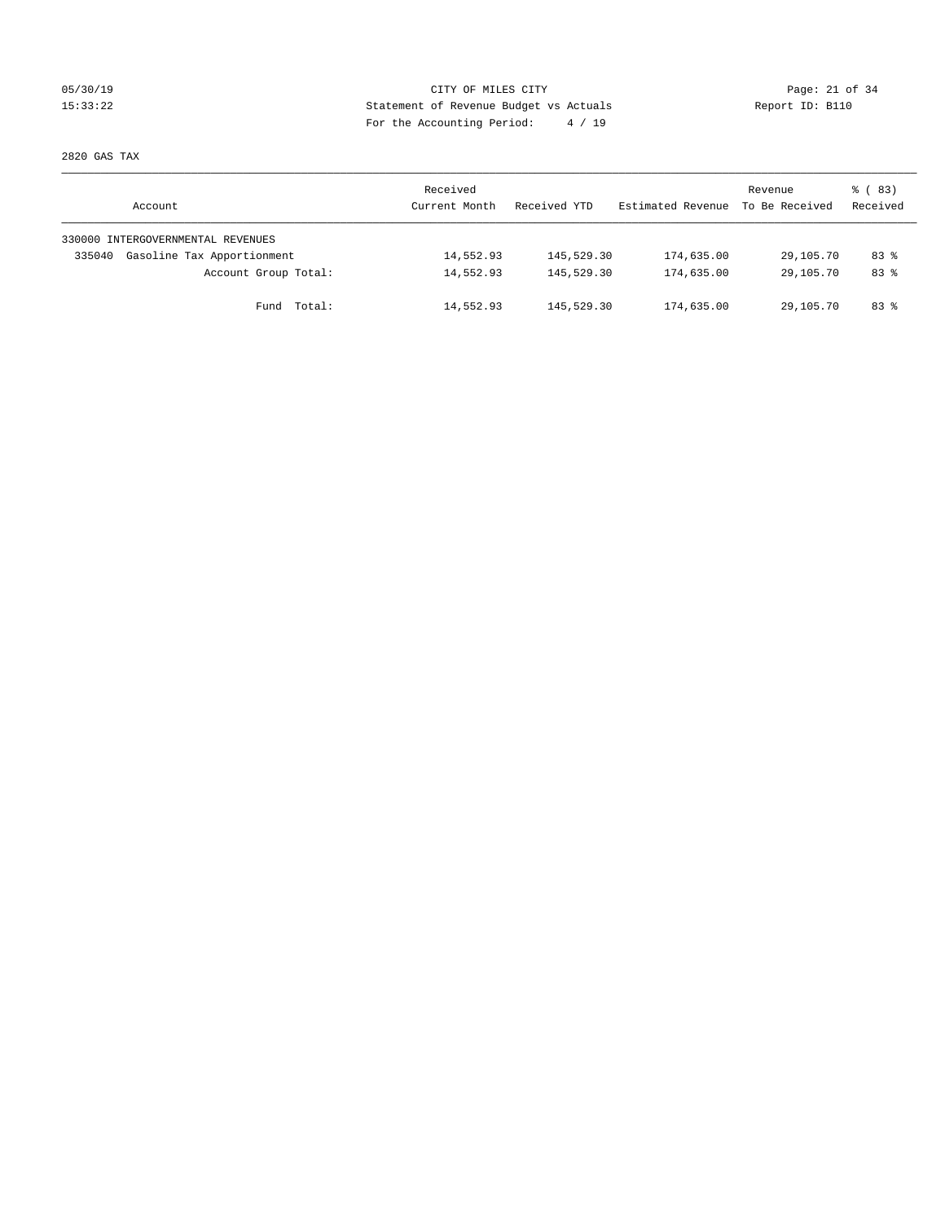# 05/30/19 Page: 21 of 34 15:33:22 Statement of Revenue Budget vs Actuals Report ID: B110 For the Accounting Period: 4 / 19

2820 GAS TAX

| Account                              | Received<br>Current Month | Received YTD | Estimated Revenue | Revenue<br>To Be Received | 8 (83)<br>Received |
|--------------------------------------|---------------------------|--------------|-------------------|---------------------------|--------------------|
| 330000 INTERGOVERNMENTAL REVENUES    |                           |              |                   |                           |                    |
| Gasoline Tax Apportionment<br>335040 | 14,552.93                 | 145,529.30   | 174,635.00        | 29,105.70                 | $83*$              |
| Account Group Total:                 | 14,552.93                 | 145,529.30   | 174,635.00        | 29,105.70                 | $83*$              |
| Fund Total:                          | 14,552.93                 | 145,529.30   | 174,635.00        | 29,105.70                 | 83 %               |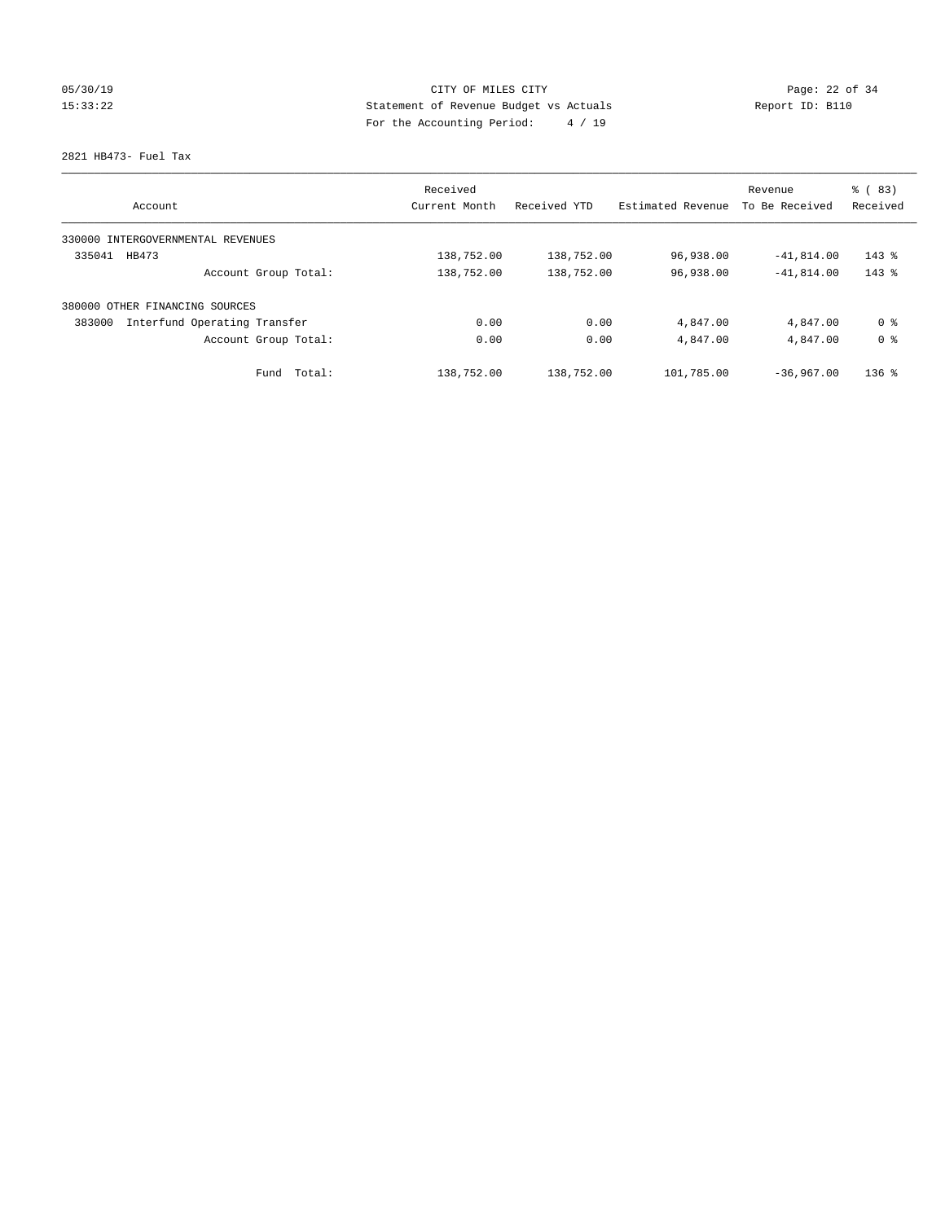# 05/30/19 Page: 22 of 34 15:33:22 Statement of Revenue Budget vs Actuals Report ID: B110 For the Accounting Period: 4 / 19

### 2821 HB473- Fuel Tax

| Account                                | Received<br>Current Month | Received YTD | Estimated Revenue | Revenue<br>To Be Received | % (83)<br>Received |
|----------------------------------------|---------------------------|--------------|-------------------|---------------------------|--------------------|
| 330000 INTERGOVERNMENTAL REVENUES      |                           |              |                   |                           |                    |
| 335041<br>HB473                        | 138,752.00                | 138,752.00   | 96,938.00         | $-41,814.00$              | $143$ %            |
| Account Group Total:                   | 138,752.00                | 138,752.00   | 96,938.00         | $-41,814.00$              | $143$ $%$          |
| 380000 OTHER FINANCING SOURCES         |                           |              |                   |                           |                    |
| Interfund Operating Transfer<br>383000 | 0.00                      | 0.00         | 4,847.00          | 4,847.00                  | 0 <sup>8</sup>     |
| Account Group Total:                   | 0.00                      | 0.00         | 4,847.00          | 4,847.00                  | 0 <sup>8</sup>     |
| Total:<br>Fund                         | 138,752.00                | 138,752.00   | 101,785.00        | $-36.967.00$              | $136$ $%$          |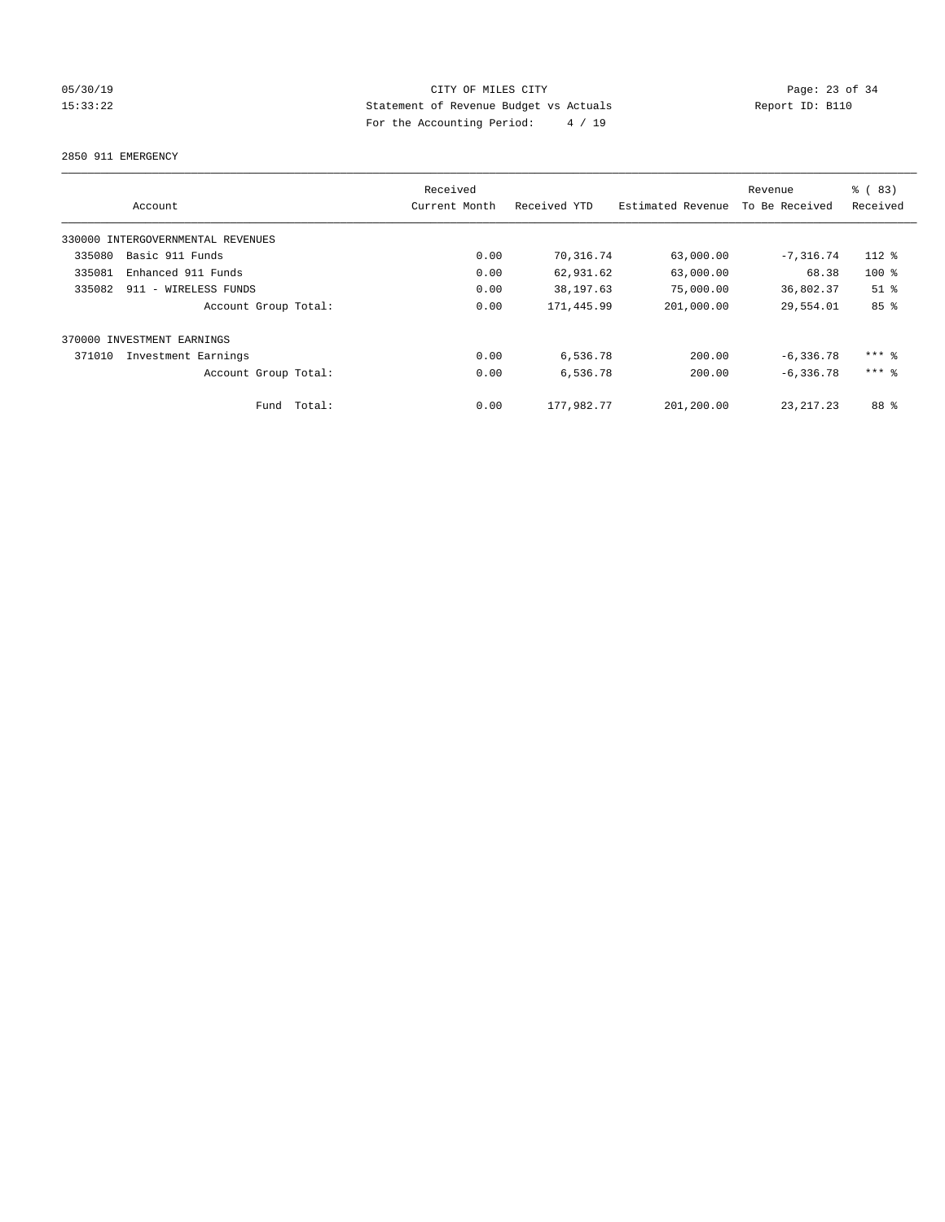# 05/30/19 Page: 23 of 34 15:33:22 Statement of Revenue Budget vs Actuals Report ID: B110 For the Accounting Period: 4 / 19

2850 911 EMERGENCY

|        | Account                           |        | Received<br>Current Month | Received YTD | Estimated Revenue | Revenue<br>To Be Received | % (83)<br>Received |
|--------|-----------------------------------|--------|---------------------------|--------------|-------------------|---------------------------|--------------------|
|        | 330000 INTERGOVERNMENTAL REVENUES |        |                           |              |                   |                           |                    |
| 335080 | Basic 911 Funds                   |        | 0.00                      | 70,316.74    | 63,000.00         | $-7, 316.74$              | $112*$             |
| 335081 | Enhanced 911 Funds                |        | 0.00                      | 62,931.62    | 63,000.00         | 68.38                     | $100$ %            |
| 335082 | 911 - WIRELESS FUNDS              |        | 0.00                      | 38,197.63    | 75,000.00         | 36,802.37                 | $51$ %             |
|        | Account Group Total:              |        | 0.00                      | 171,445.99   | 201,000.00        | 29,554.01                 | 85%                |
|        | 370000 INVESTMENT EARNINGS        |        |                           |              |                   |                           |                    |
| 371010 | Investment Earnings               |        | 0.00                      | 6,536.78     | 200.00            | $-6, 336.78$              | $***$ $%$          |
|        | Account Group Total:              |        | 0.00                      | 6,536.78     | 200.00            | $-6, 336.78$              | $***$ 2            |
|        | Fund                              | Total: | 0.00                      | 177,982.77   | 201,200.00        | 23, 217, 23               | 88 %               |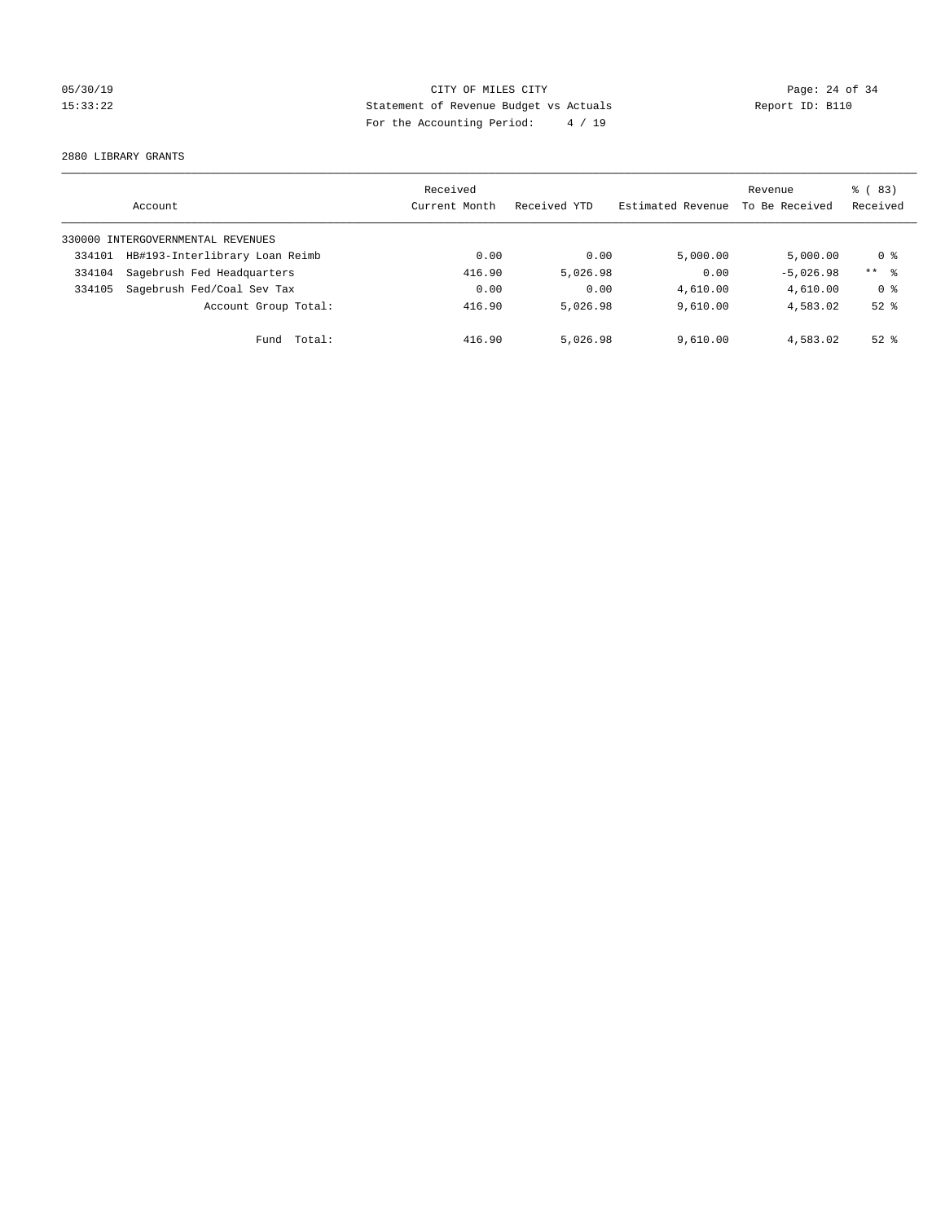# 05/30/19 Page: 24 of 34 15:33:22 Statement of Revenue Budget vs Actuals Report ID: B110 For the Accounting Period: 4 / 19

2880 LIBRARY GRANTS

|        | Account                           | Received<br>Current Month | Received YTD | Estimated Revenue | Revenue<br>To Be Received | $\frac{6}{6}$ (83)<br>Received |
|--------|-----------------------------------|---------------------------|--------------|-------------------|---------------------------|--------------------------------|
|        | 330000 INTERGOVERNMENTAL REVENUES |                           |              |                   |                           |                                |
| 334101 | HB#193-Interlibrary Loan Reimb    | 0.00                      | 0.00         | 5,000.00          | 5.000.00                  | 0 ક                            |
| 334104 | Sagebrush Fed Headquarters        | 416.90                    | 5,026.98     | 0.00              | $-5.026.98$               | $***$ 8                        |
| 334105 | Sagebrush Fed/Coal Sev Tax        | 0.00                      | 0.00         | 4,610.00          | 4,610.00                  | 0 <sup>8</sup>                 |
|        | Account Group Total:              | 416.90                    | 5,026.98     | 9.610.00          | 4,583.02                  | $52$ $%$                       |
|        | Total:<br>Fund                    | 416.90                    | 5,026.98     | 9.610.00          | 4,583.02                  | $52*$                          |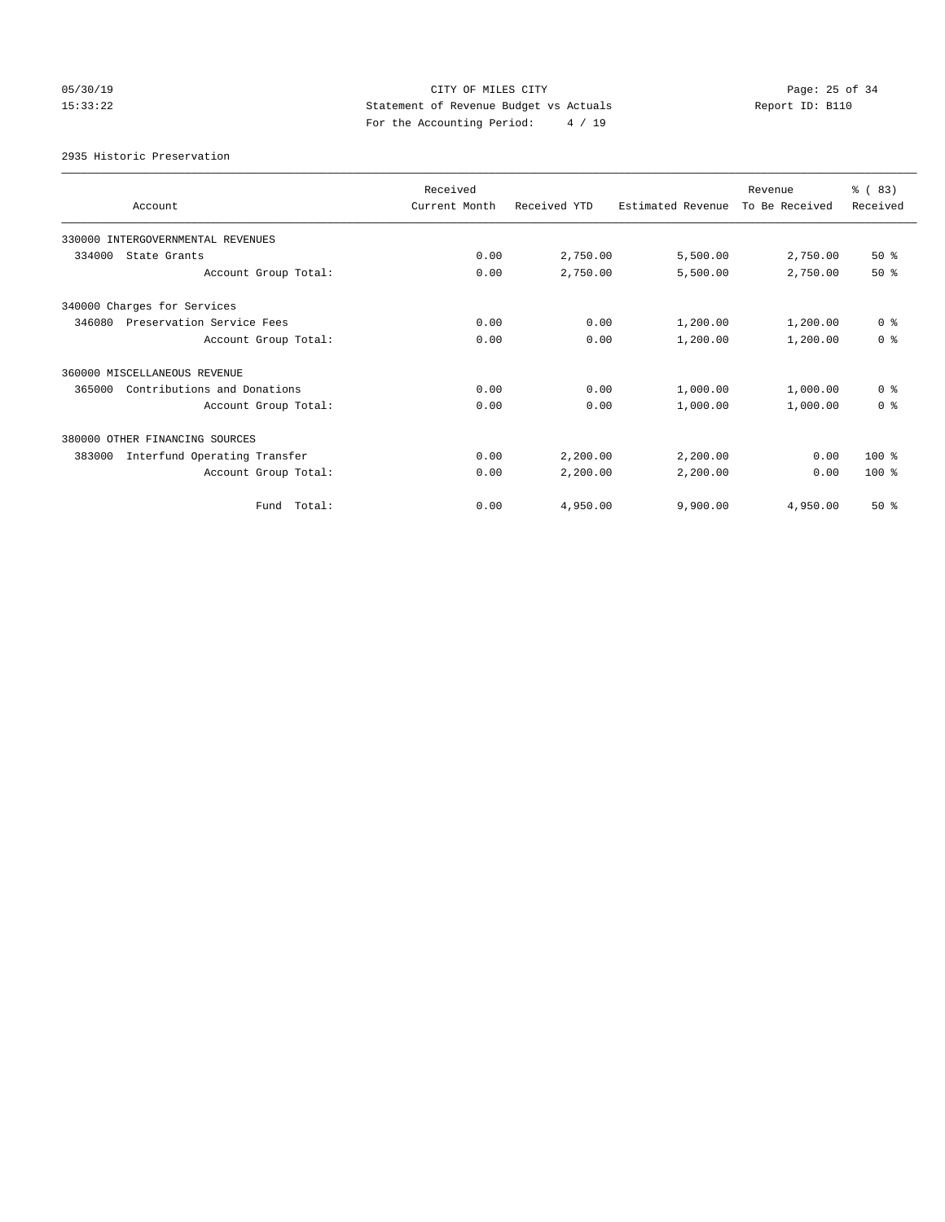# 05/30/19 Page: 25 of 34 15:33:22 Statement of Revenue Budget vs Actuals Report ID: B110 For the Accounting Period: 4 / 19

2935 Historic Preservation

| Account                                | Received<br>Current Month | Received YTD | Estimated Revenue | Revenue<br>To Be Received | % (83)<br>Received |
|----------------------------------------|---------------------------|--------------|-------------------|---------------------------|--------------------|
| 330000 INTERGOVERNMENTAL REVENUES      |                           |              |                   |                           |                    |
| 334000<br>State Grants                 | 0.00                      | 2,750.00     | 5,500.00          | 2,750.00                  | $50*$              |
| Account Group Total:                   | 0.00                      | 2,750.00     | 5,500.00          | 2,750.00                  | $50*$              |
| 340000 Charges for Services            |                           |              |                   |                           |                    |
| 346080<br>Preservation Service Fees    | 0.00                      | 0.00         | 1,200.00          | 1,200.00                  | 0 <sup>8</sup>     |
| Account Group Total:                   | 0.00                      | 0.00         | 1,200.00          | 1,200.00                  | 0 <sup>8</sup>     |
| 360000 MISCELLANEOUS REVENUE           |                           |              |                   |                           |                    |
| 365000<br>Contributions and Donations  | 0.00                      | 0.00         | 1,000.00          | 1,000.00                  | 0 <sup>8</sup>     |
| Account Group Total:                   | 0.00                      | 0.00         | 1,000.00          | 1,000.00                  | 0 <sup>8</sup>     |
| 380000 OTHER FINANCING SOURCES         |                           |              |                   |                           |                    |
| Interfund Operating Transfer<br>383000 | 0.00                      | 2,200.00     | 2,200.00          | 0.00                      | 100 %              |
| Account Group Total:                   | 0.00                      | 2,200.00     | 2,200.00          | 0.00                      | $100*$             |
| Total:<br>Fund                         | 0.00                      | 4,950.00     | 9,900.00          | 4,950.00                  | $50*$              |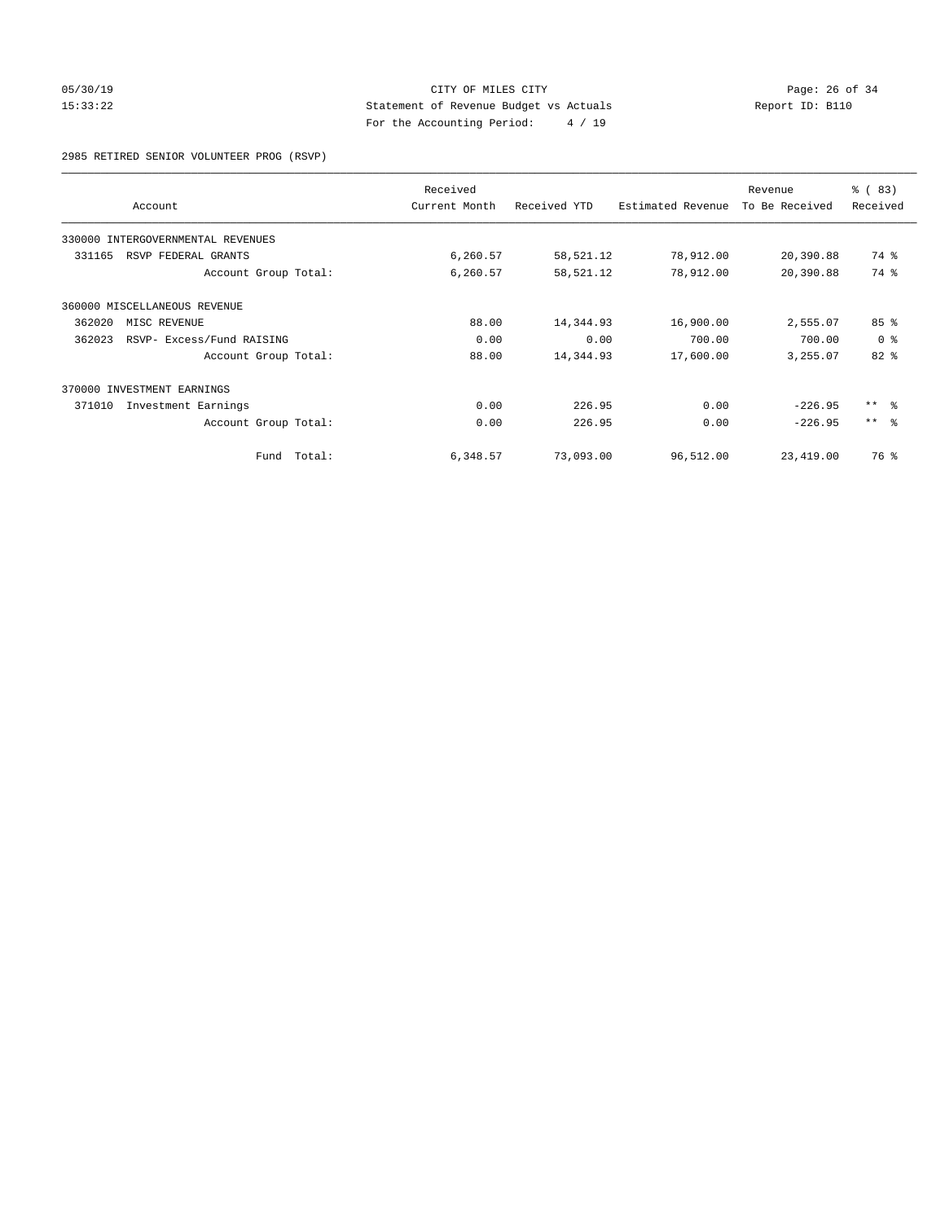# 05/30/19 Page: 26 of 34 15:33:22 Statement of Revenue Budget vs Actuals Report ID: B110 For the Accounting Period: 4 / 19

2985 RETIRED SENIOR VOLUNTEER PROG (RSVP)

|        | Account                           |             | Received<br>Current Month | Received YTD | Estimated Revenue | Revenue<br>To Be Received | % (83)<br>Received |
|--------|-----------------------------------|-------------|---------------------------|--------------|-------------------|---------------------------|--------------------|
|        | 330000 INTERGOVERNMENTAL REVENUES |             |                           |              |                   |                           |                    |
| 331165 | RSVP FEDERAL GRANTS               |             | 6,260.57                  | 58,521.12    | 78,912.00         | 20,390.88                 | 74 %               |
|        | Account Group Total:              |             | 6,260.57                  | 58,521.12    | 78,912.00         | 20,390.88                 | 74 %               |
|        | 360000 MISCELLANEOUS REVENUE      |             |                           |              |                   |                           |                    |
| 362020 | MISC REVENUE                      |             | 88.00                     | 14,344.93    | 16,900.00         | 2,555.07                  | 85 <sup>8</sup>    |
| 362023 | RSVP- Excess/Fund RAISING         |             | 0.00                      | 0.00         | 700.00            | 700.00                    | 0 <sup>8</sup>     |
|        | Account Group Total:              |             | 88.00                     | 14,344.93    | 17,600.00         | 3,255.07                  | 82%                |
|        | 370000 INVESTMENT EARNINGS        |             |                           |              |                   |                           |                    |
| 371010 | Investment Earnings               |             | 0.00                      | 226.95       | 0.00              | $-226.95$                 | $***$ $ -$         |
|        | Account Group Total:              |             | 0.00                      | 226.95       | 0.00              | $-226.95$                 | $***$ $ -$         |
|        |                                   | Fund Total: | 6,348.57                  | 73,093.00    | 96,512.00         | 23,419.00                 | 76 %               |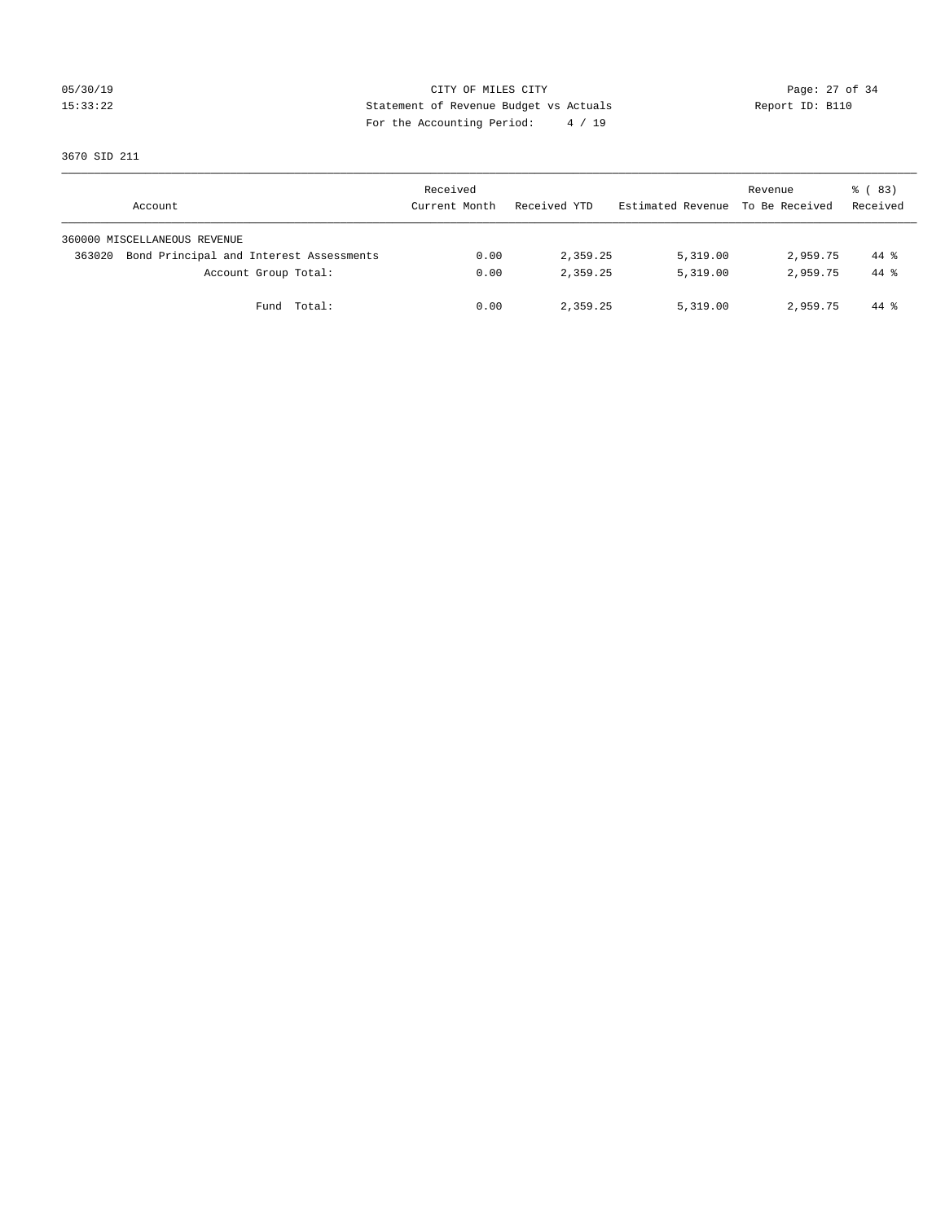# 05/30/19 Page: 27 of 34 15:33:22 Statement of Revenue Budget vs Actuals Report ID: B110 For the Accounting Period: 4 / 19

3670 SID 211

| Account                                           | Received<br>Current Month | Received YTD | Estimated Revenue | Revenue<br>To Be Received | 8 (83)<br>Received |
|---------------------------------------------------|---------------------------|--------------|-------------------|---------------------------|--------------------|
| 360000 MISCELLANEOUS REVENUE                      |                           |              |                   |                           |                    |
| Bond Principal and Interest Assessments<br>363020 | 0.00                      | 2,359.25     | 5,319.00          | 2,959.75                  | 44 %               |
| Account Group Total:                              | 0.00                      | 2,359.25     | 5,319.00          | 2,959.75                  | $44*$              |
| Total:<br>Fund                                    | 0.00                      | 2,359.25     | 5,319.00          | 2,959.75                  | 44 %               |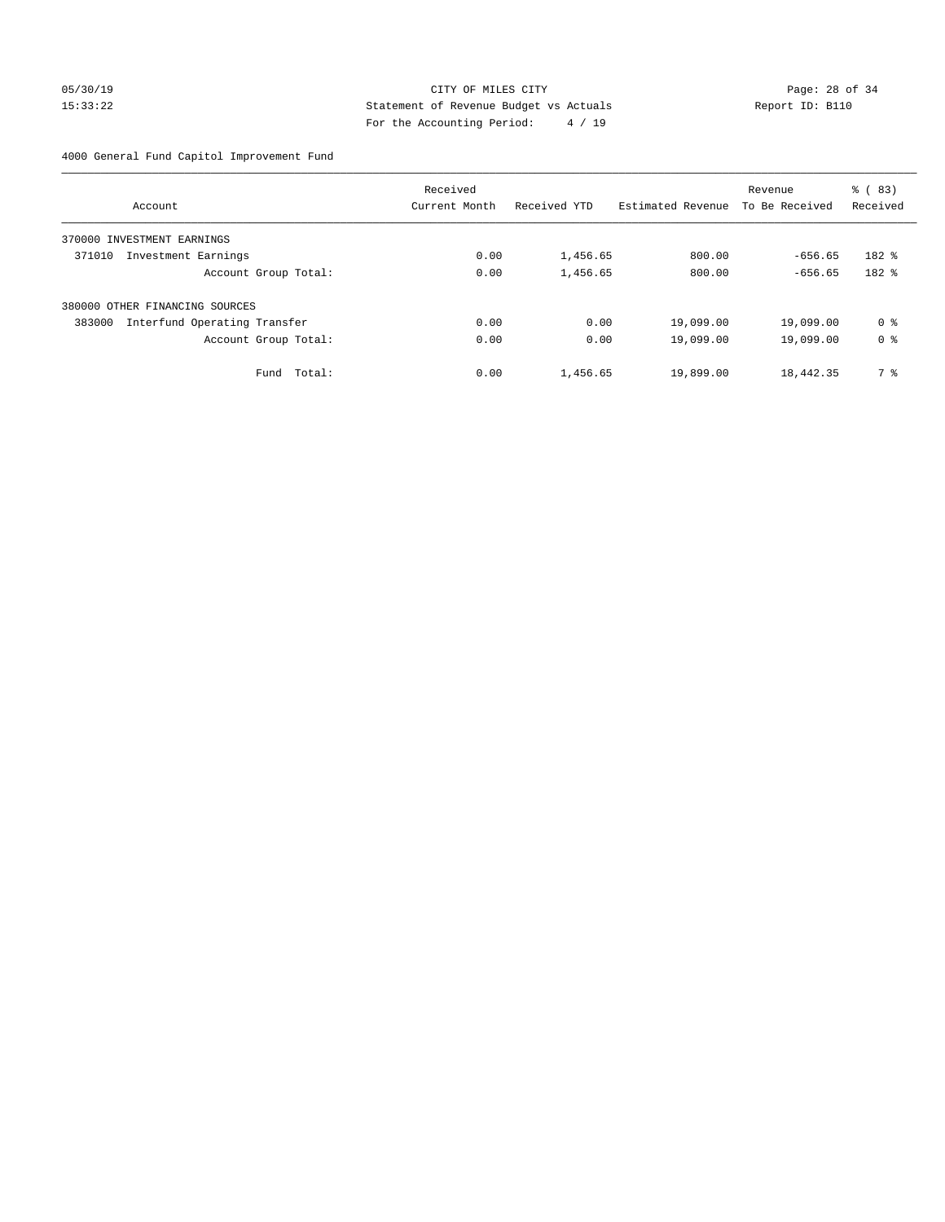# 05/30/19 Page: 28 of 34 15:33:22 Statement of Revenue Budget vs Actuals Report ID: B110 For the Accounting Period: 4 / 19

# 4000 General Fund Capitol Improvement Fund

|                                |                              | Received      |              |                   | Revenue        | % (83)         |
|--------------------------------|------------------------------|---------------|--------------|-------------------|----------------|----------------|
| Account                        |                              | Current Month | Received YTD | Estimated Revenue | To Be Received | Received       |
| 370000 INVESTMENT EARNINGS     |                              |               |              |                   |                |                |
| 371010                         | Investment Earnings          | 0.00          | 1,456.65     | 800.00            | $-656.65$      | $182$ $%$      |
|                                | Account Group Total:         | 0.00          | 1,456.65     | 800.00            | $-656.65$      | 182 %          |
| 380000 OTHER FINANCING SOURCES |                              |               |              |                   |                |                |
| 383000                         | Interfund Operating Transfer | 0.00          | 0.00         | 19,099.00         | 19,099.00      | 0 <sup>8</sup> |
|                                | Account Group Total:         | 0.00          | 0.00         | 19,099.00         | 19,099.00      | 0 <sup>8</sup> |
|                                | Total:<br>Fund               | 0.00          | 1,456.65     | 19,899.00         | 18,442.35      | 7 %            |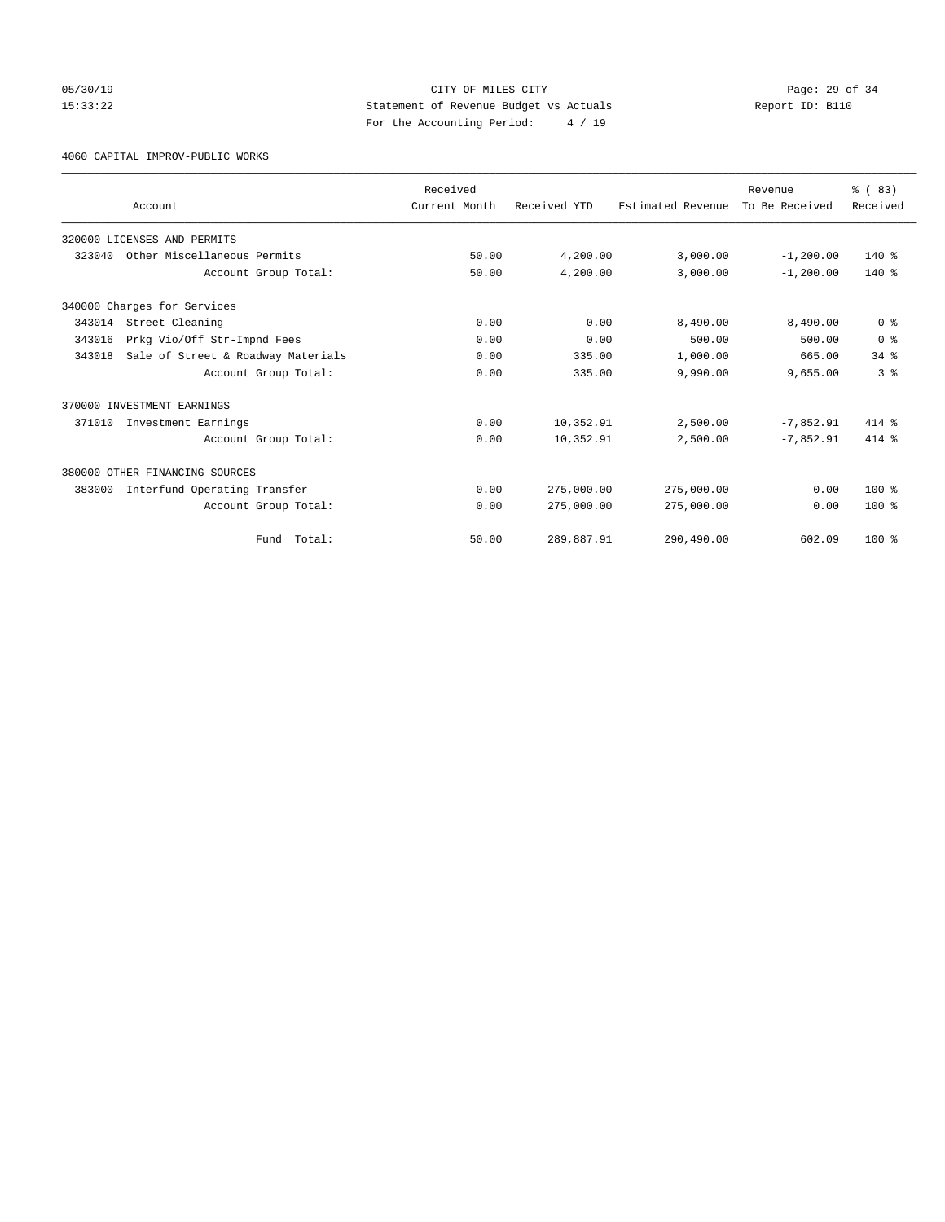# 05/30/19 Page: 29 of 34 15:33:22 Statement of Revenue Budget vs Actuals Report ID: B110 For the Accounting Period: 4 / 19

4060 CAPITAL IMPROV-PUBLIC WORKS

|        | Account                            | Received<br>Current Month | Received YTD | Estimated Revenue | Revenue<br>To Be Received | % (83)<br>Received |
|--------|------------------------------------|---------------------------|--------------|-------------------|---------------------------|--------------------|
|        |                                    |                           |              |                   |                           |                    |
|        | 320000 LICENSES AND PERMITS        |                           |              |                   |                           |                    |
| 323040 | Other Miscellaneous Permits        | 50.00                     | 4,200.00     | 3,000.00          | $-1, 200.00$              | $140*$             |
|        | Account Group Total:               | 50.00                     | 4,200.00     | 3,000.00          | $-1, 200.00$              | $140*$             |
|        | 340000 Charges for Services        |                           |              |                   |                           |                    |
| 343014 | Street Cleaning                    | 0.00                      | 0.00         | 8,490.00          | 8,490.00                  | 0 <sup>8</sup>     |
| 343016 | Prkg Vio/Off Str-Impnd Fees        | 0.00                      | 0.00         | 500.00            | 500.00                    | 0 <sup>8</sup>     |
| 343018 | Sale of Street & Roadway Materials | 0.00                      | 335.00       | 1,000.00          | 665.00                    | $34$ $%$           |
|        | Account Group Total:               | 0.00                      | 335.00       | 9,990.00          | 9,655.00                  | 3 <sup>8</sup>     |
|        | 370000 INVESTMENT EARNINGS         |                           |              |                   |                           |                    |
| 371010 | Investment Earnings                | 0.00                      | 10,352.91    | 2,500.00          | $-7,852.91$               | $414*$             |
|        | Account Group Total:               | 0.00                      | 10,352.91    | 2,500.00          | $-7,852.91$               | 414 %              |
|        | 380000 OTHER FINANCING SOURCES     |                           |              |                   |                           |                    |
| 383000 | Interfund Operating Transfer       | 0.00                      | 275,000.00   | 275,000.00        | 0.00                      | $100*$             |
|        | Account Group Total:               | 0.00                      | 275,000.00   | 275,000.00        | 0.00                      | $100*$             |
|        | Fund Total:                        | 50.00                     | 289,887.91   | 290,490.00        | 602.09                    | $100*$             |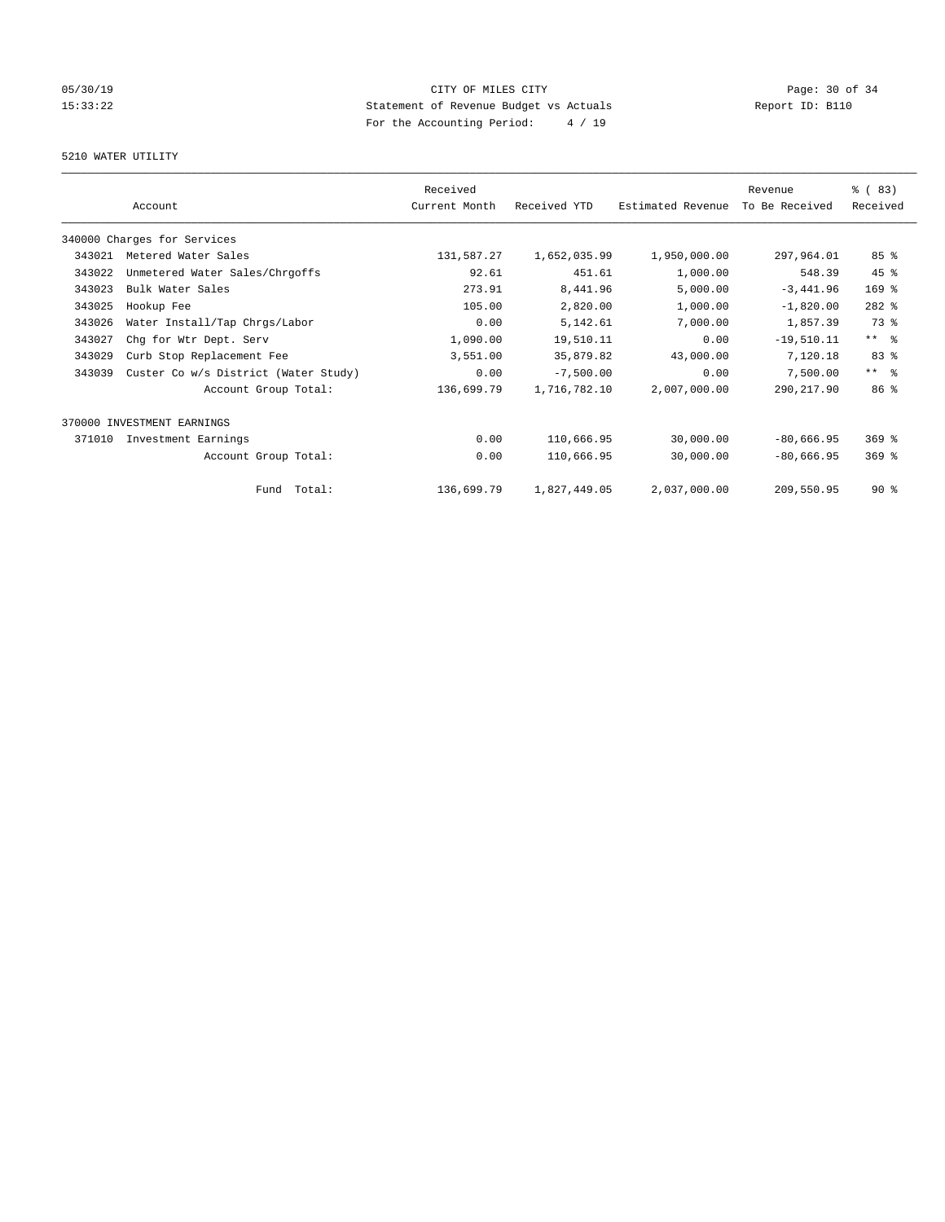# 05/30/19 Page: 30 of 34 15:33:22 Statement of Revenue Budget vs Actuals Report ID: B110 For the Accounting Period: 4 / 19

# 5210 WATER UTILITY

|        | Account                              | Received<br>Current Month | Received YTD | Estimated Revenue | Revenue<br>To Be Received | % (83)<br>Received  |
|--------|--------------------------------------|---------------------------|--------------|-------------------|---------------------------|---------------------|
|        | 340000 Charges for Services          |                           |              |                   |                           |                     |
| 343021 | Metered Water Sales                  | 131,587.27                | 1,652,035.99 | 1,950,000.00      | 297,964.01                | 85 <sup>°</sup>     |
| 343022 | Unmetered Water Sales/Chrgoffs       | 92.61                     | 451.61       | 1,000.00          | 548.39                    | 45 %                |
| 343023 | Bulk Water Sales                     | 273.91                    | 8,441.96     | 5,000.00          | $-3,441.96$               | 169 %               |
| 343025 | Hookup Fee                           | 105.00                    | 2,820.00     | 1,000.00          | $-1,820.00$               | $282$ $%$           |
| 343026 | Water Install/Tap Chrgs/Labor        | 0.00                      | 5,142.61     | 7,000.00          | 1,857.39                  | 73 %                |
| 343027 | Chg for Wtr Dept. Serv               | 1,090.00                  | 19,510.11    | 0.00              | $-19,510.11$              | $***$ $%$           |
| 343029 | Curb Stop Replacement Fee            | 3,551.00                  | 35,879.82    | 43,000.00         | 7,120.18                  | 83 %                |
| 343039 | Custer Co w/s District (Water Study) | 0.00                      | $-7,500.00$  | 0.00              | 7,500.00                  | $***$ $\frac{6}{5}$ |
|        | Account Group Total:                 | 136,699.79                | 1,716,782.10 | 2,007,000.00      | 290, 217.90               | 86 <sup>8</sup>     |
|        | 370000 INVESTMENT EARNINGS           |                           |              |                   |                           |                     |
| 371010 | Investment Earnings                  | 0.00                      | 110,666.95   | 30,000.00         | $-80,666.95$              | $369$ $%$           |
|        | Account Group Total:                 | 0.00                      | 110,666.95   | 30,000.00         | $-80,666.95$              | $369$ $%$           |
|        | Fund Total:                          | 136,699.79                | 1,827,449.05 | 2,037,000.00      | 209,550.95                | $90*$               |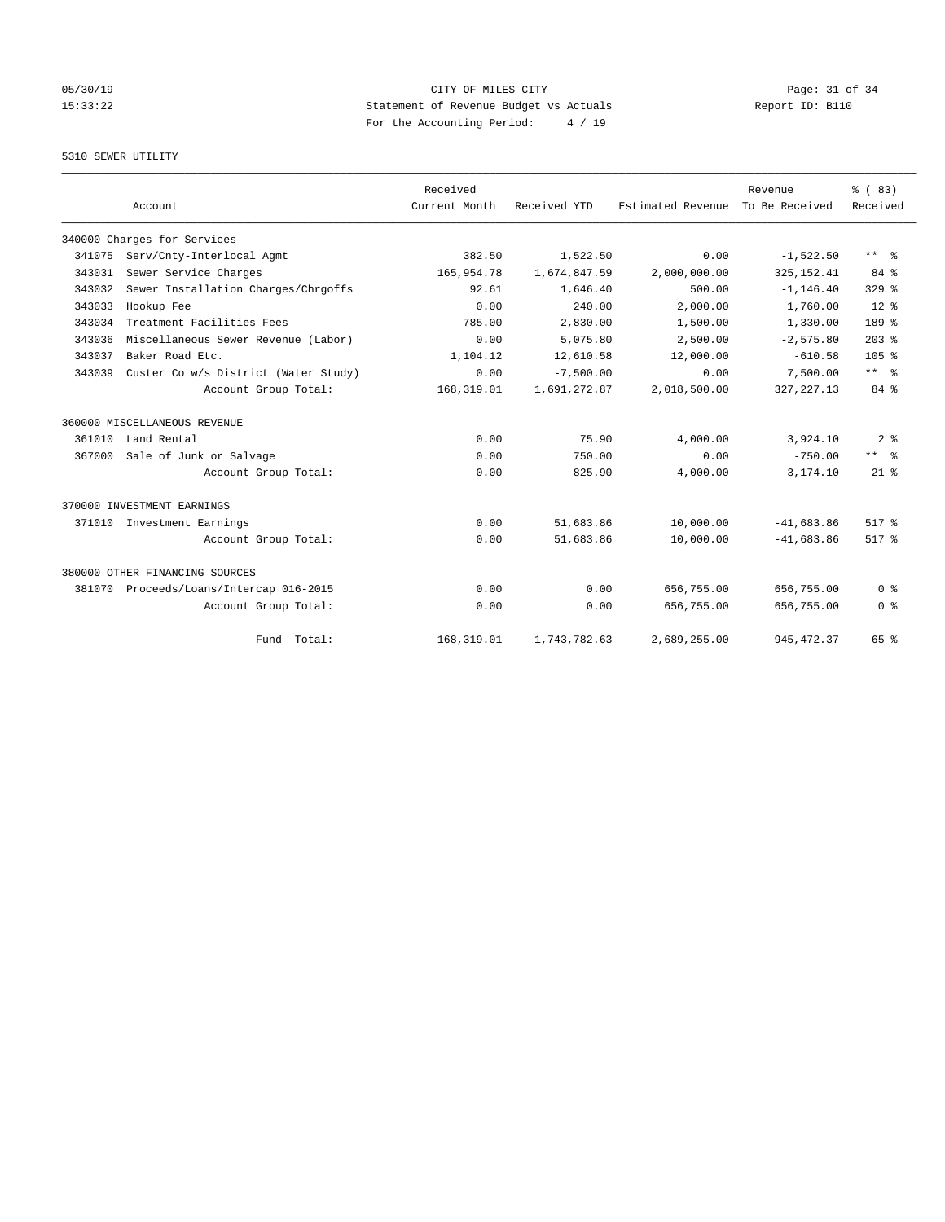# 05/30/19 Page: 31 of 34 15:33:22 Statement of Revenue Budget vs Actuals Report ID: B110 For the Accounting Period: 4 / 19

# 5310 SEWER UTILITY

|        | Account                              | Received<br>Current Month | Received YTD | Estimated Revenue | Revenue<br>To Be Received | % (83)<br>Received |
|--------|--------------------------------------|---------------------------|--------------|-------------------|---------------------------|--------------------|
|        | 340000 Charges for Services          |                           |              |                   |                           |                    |
| 341075 | Serv/Cnty-Interlocal Agmt            | 382.50                    | 1,522.50     | 0.00              | $-1,522.50$               | ** %               |
| 343031 | Sewer Service Charges                | 165,954.78                | 1,674,847.59 | 2,000,000.00      | 325, 152.41               | 84 %               |
| 343032 | Sewer Installation Charges/Chrgoffs  | 92.61                     | 1,646.40     | 500.00            | $-1, 146.40$              | $329$ $%$          |
| 343033 | Hookup Fee                           | 0.00                      | 240.00       | 2,000.00          | 1,760.00                  | $12*$              |
| 343034 | Treatment Facilities Fees            | 785.00                    | 2,830.00     | 1,500.00          | $-1,330.00$               | 189 %              |
| 343036 | Miscellaneous Sewer Revenue (Labor)  | 0.00                      | 5,075.80     | 2,500.00          | $-2,575.80$               | $203$ $%$          |
| 343037 | Baker Road Etc.                      | 1,104.12                  | 12,610.58    | 12,000.00         | $-610.58$                 | 105 <sub>8</sub>   |
| 343039 | Custer Co w/s District (Water Study) | 0.00                      | $-7,500.00$  | 0.00              | 7,500.00                  | $***$ $ -$         |
|        | Account Group Total:                 | 168, 319.01               | 1,691,272.87 | 2,018,500.00      | 327, 227.13               | 84 %               |
|        | 360000 MISCELLANEOUS REVENUE         |                           |              |                   |                           |                    |
| 361010 | Land Rental                          | 0.00                      | 75.90        | 4,000.00          | 3,924.10                  | 2 <sup>8</sup>     |
| 367000 | Sale of Junk or Salvage              | 0.00                      | 750.00       | 0.00              | $-750.00$                 | ** *               |
|        | Account Group Total:                 | 0.00                      | 825.90       | 4,000.00          | 3,174.10                  | $21$ %             |
|        | 370000 INVESTMENT EARNINGS           |                           |              |                   |                           |                    |
| 371010 | Investment Earnings                  | 0.00                      | 51,683.86    | 10,000.00         | $-41,683,86$              | 517.8              |
|        | Account Group Total:                 | 0.00                      | 51,683.86    | 10,000.00         | $-41,683,86$              | 517 %              |
|        | 380000 OTHER FINANCING SOURCES       |                           |              |                   |                           |                    |
| 381070 | Proceeds/Loans/Intercap 016-2015     | 0.00                      | 0.00         | 656,755.00        | 656,755.00                | 0 <sup>8</sup>     |
|        | Account Group Total:                 | 0.00                      | 0.00         | 656,755.00        | 656,755.00                | 0 <sup>8</sup>     |
|        | Fund Total:                          | 168, 319.01               | 1,743,782.63 | 2,689,255.00      | 945, 472.37               | 65 %               |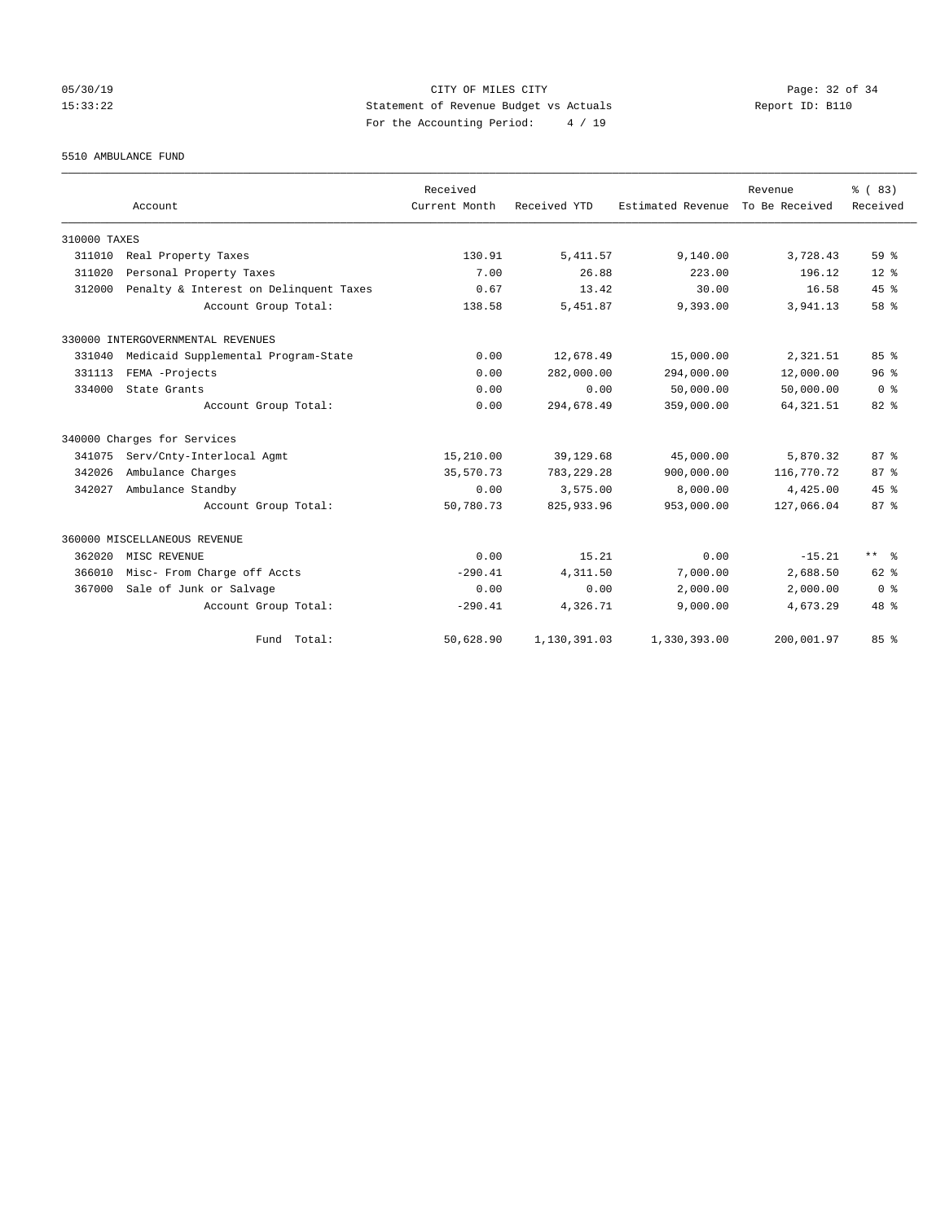# 05/30/19 Page: 32 of 34 15:33:22 Statement of Revenue Budget vs Actuals Report ID: B110 For the Accounting Period: 4 / 19

5510 AMBULANCE FUND

|              | Account                                | Received<br>Current Month | Received YTD | Estimated Revenue | Revenue<br>To Be Received | % (83)<br>Received |
|--------------|----------------------------------------|---------------------------|--------------|-------------------|---------------------------|--------------------|
| 310000 TAXES |                                        |                           |              |                   |                           |                    |
| 311010       | Real Property Taxes                    | 130.91                    | 5, 411.57    | 9,140.00          | 3,728.43                  | 59 %               |
| 311020       | Personal Property Taxes                | 7.00                      | 26.88        | 223.00            | 196.12                    | $12*$              |
| 312000       | Penalty & Interest on Delinquent Taxes | 0.67                      | 13.42        | 30.00             | 16.58                     | 45%                |
|              | Account Group Total:                   | 138.58                    | 5,451.87     | 9,393.00          | 3,941.13                  | 58 %               |
|              | 330000 INTERGOVERNMENTAL REVENUES      |                           |              |                   |                           |                    |
| 331040       | Medicaid Supplemental Program-State    | 0.00                      | 12,678.49    | 15,000.00         | 2,321.51                  | 85%                |
| 331113       | FEMA -Projects                         | 0.00                      | 282,000.00   | 294,000.00        | 12,000.00                 | 96 <sup>8</sup>    |
| 334000       | State Grants                           | 0.00                      | 0.00         | 50,000.00         | 50,000.00                 | 0 <sup>8</sup>     |
|              | Account Group Total:                   | 0.00                      | 294,678.49   | 359,000.00        | 64, 321.51                | $82*$              |
|              | 340000 Charges for Services            |                           |              |                   |                           |                    |
| 341075       | Serv/Cnty-Interlocal Agmt              | 15,210.00                 | 39,129.68    | 45,000.00         | 5,870.32                  | 87 <sup>8</sup>    |
| 342026       | Ambulance Charges                      | 35,570.73                 | 783, 229. 28 | 900,000.00        | 116,770.72                | 87 <sup>8</sup>    |
| 342027       | Ambulance Standby                      | 0.00                      | 3,575.00     | 8,000.00          | 4,425.00                  | 45%                |
|              | Account Group Total:                   | 50,780.73                 | 825, 933.96  | 953,000.00        | 127,066.04                | 87 <sup>8</sup>    |
|              | 360000 MISCELLANEOUS REVENUE           |                           |              |                   |                           |                    |
| 362020       | MISC REVENUE                           | 0.00                      | 15.21        | 0.00              | $-15.21$                  | $***$ $%$          |
| 366010       | Misc- From Charge off Accts            | $-290.41$                 | 4,311.50     | 7,000.00          | 2,688.50                  | $62$ $%$           |
| 367000       | Sale of Junk or Salvage                | 0.00                      | 0.00         | 2,000.00          | 2,000.00                  | 0 <sup>8</sup>     |
|              | Account Group Total:                   | $-290.41$                 | 4,326.71     | 9,000.00          | 4,673.29                  | 48 %               |
|              | Fund Total:                            | 50,628.90                 | 1,130,391.03 | 1,330,393.00      | 200,001.97                | 85%                |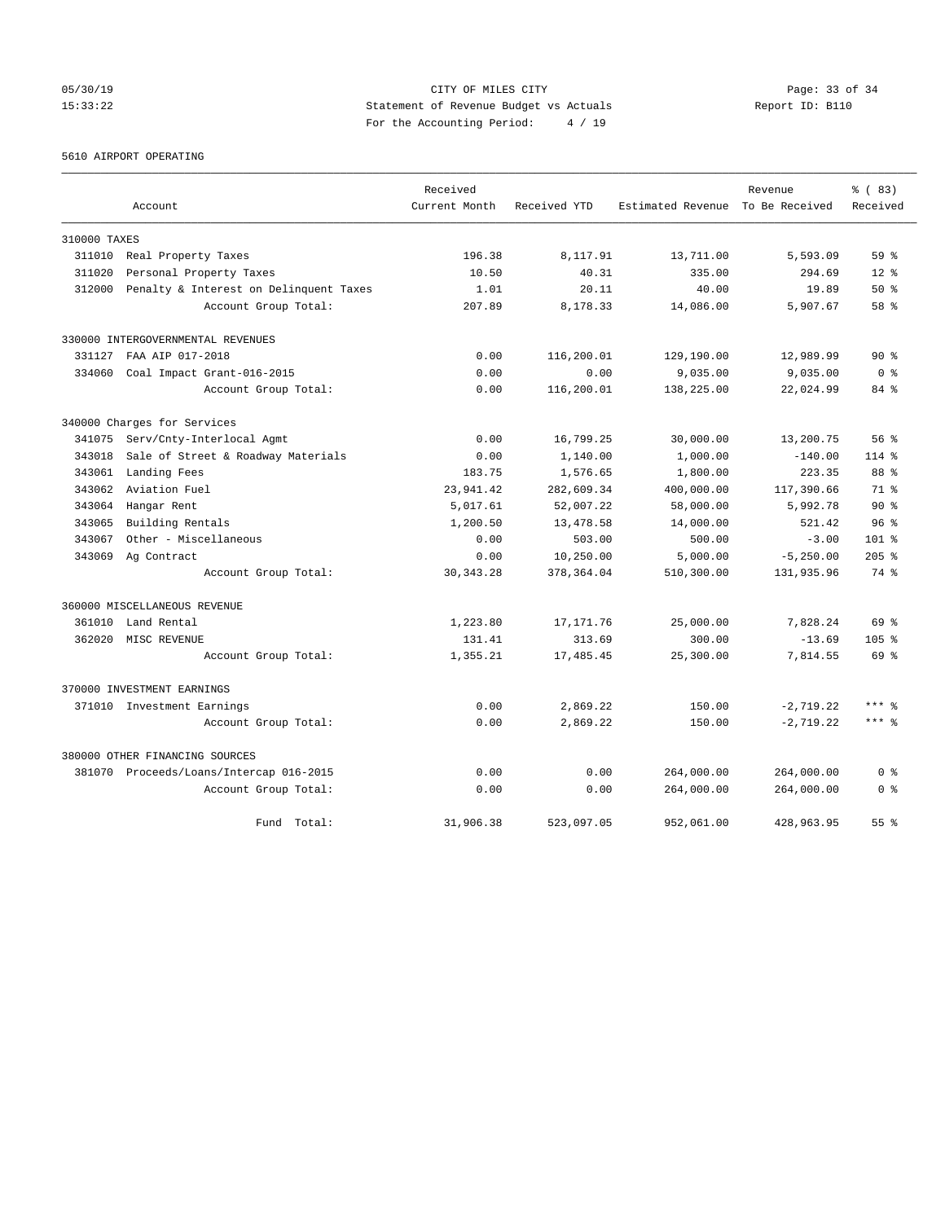# 05/30/19 Page: 33 of 34 15:33:22 Statement of Revenue Budget vs Actuals Report ID: B110 For the Accounting Period: 4 / 19

5610 AIRPORT OPERATING

|              |                                         | Received      |              |                                  | Revenue      | % (83)           |
|--------------|-----------------------------------------|---------------|--------------|----------------------------------|--------------|------------------|
|              | Account                                 | Current Month | Received YTD | Estimated Revenue To Be Received |              | Received         |
| 310000 TAXES |                                         |               |              |                                  |              |                  |
| 311010       | Real Property Taxes                     | 196.38        | 8,117.91     | 13,711.00                        | 5,593.09     | 59 <sup>8</sup>  |
| 311020       | Personal Property Taxes                 | 10.50         | 40.31        | 335.00                           | 294.69       | $12*$            |
| 312000       | Penalty & Interest on Delinquent Taxes  | 1.01          | 20.11        | 40.00                            | 19.89        | $50*$            |
|              | Account Group Total:                    | 207.89        | 8,178.33     | 14,086.00                        | 5,907.67     | 58 %             |
|              | 330000 INTERGOVERNMENTAL REVENUES       |               |              |                                  |              |                  |
| 331127       | FAA AIP 017-2018                        | 0.00          | 116,200.01   | 129,190.00                       | 12,989.99    | $90*$            |
| 334060       | Coal Impact Grant-016-2015              | 0.00          | 0.00         | 9,035.00                         | 9,035.00     | 0 <sup>8</sup>   |
|              | Account Group Total:                    | 0.00          | 116,200.01   | 138,225.00                       | 22,024.99    | 84 %             |
|              | 340000 Charges for Services             |               |              |                                  |              |                  |
| 341075       | Serv/Cnty-Interlocal Agmt               | 0.00          | 16,799.25    | 30,000.00                        | 13,200.75    | 56%              |
| 343018       | Sale of Street & Roadway Materials      | 0.00          | 1,140.00     | 1,000.00                         | $-140.00$    | $114*$           |
| 343061       | Landing Fees                            | 183.75        | 1,576.65     | 1,800.00                         | 223.35       | 88 %             |
| 343062       | Aviation Fuel                           | 23,941.42     | 282,609.34   | 400,000.00                       | 117,390.66   | $71*$            |
| 343064       | Hangar Rent                             | 5,017.61      | 52,007.22    | 58,000.00                        | 5,992.78     | $90*$            |
| 343065       | Building Rentals                        | 1,200.50      | 13,478.58    | 14,000.00                        | 521.42       | 96 <sup>8</sup>  |
| 343067       | Other - Miscellaneous                   | 0.00          | 503.00       | 500.00                           | $-3.00$      | $101$ %          |
| 343069       | Ag Contract                             | 0.00          | 10,250.00    | 5,000.00                         | $-5, 250.00$ | $205$ $%$        |
|              | Account Group Total:                    | 30, 343. 28   | 378, 364.04  | 510,300.00                       | 131,935.96   | 74 %             |
|              | 360000 MISCELLANEOUS REVENUE            |               |              |                                  |              |                  |
| 361010       | Land Rental                             | 1,223.80      | 17, 171.76   | 25,000.00                        | 7,828.24     | 69 %             |
| 362020       | MISC REVENUE                            | 131.41        | 313.69       | 300.00                           | $-13.69$     | 105 <sub>8</sub> |
|              | Account Group Total:                    | 1,355.21      | 17,485.45    | 25,300.00                        | 7,814.55     | 69 %             |
|              | 370000 INVESTMENT EARNINGS              |               |              |                                  |              |                  |
|              | 371010 Investment Earnings              | 0.00          | 2,869.22     | 150.00                           | $-2,719.22$  | $***$ %          |
|              | Account Group Total:                    | 0.00          | 2,869.22     | 150.00                           | $-2, 719.22$ | $***$ %          |
|              | 380000 OTHER FINANCING SOURCES          |               |              |                                  |              |                  |
|              | 381070 Proceeds/Loans/Intercap 016-2015 | 0.00          | 0.00         | 264,000.00                       | 264,000.00   | 0 <sup>8</sup>   |
|              | Account Group Total:                    | 0.00          | 0.00         | 264,000.00                       | 264,000.00   | 0 <sup>8</sup>   |
|              | Fund Total:                             | 31,906.38     | 523,097.05   | 952,061.00                       | 428,963.95   | 55 %             |